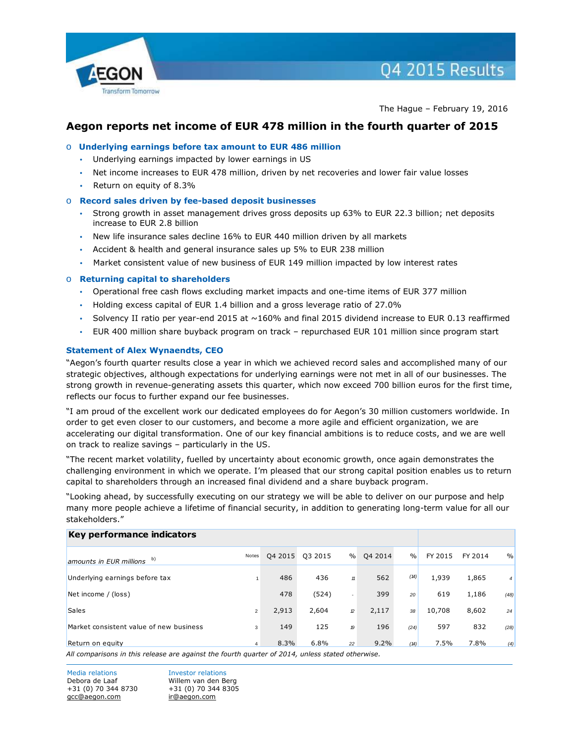

04 2015 Results

The Hague – February 19, 2016

# **Aegon reports net income of EUR 478 million in the fourth quarter of 2015**

# o **Underlying earnings before tax amount to EUR 486 million**

- Underlying earnings impacted by lower earnings in US
- Net income increases to EUR 478 million, driven by net recoveries and lower fair value losses
- Return on equity of 8.3%

## o **Record sales driven by fee-based deposit businesses**

- Strong growth in asset management drives gross deposits up 63% to EUR 22.3 billion; net deposits increase to EUR 2.8 billion
- New life insurance sales decline 16% to EUR 440 million driven by all markets
- Accident & health and general insurance sales up 5% to EUR 238 million
- Market consistent value of new business of EUR 149 million impacted by low interest rates

## o **Returning capital to shareholders**

- Operational free cash flows excluding market impacts and one-time items of EUR 377 million
- Holding excess capital of EUR 1.4 billion and a gross leverage ratio of 27.0%
- Solvency II ratio per year-end 2015 at ~160% and final 2015 dividend increase to EUR 0.13 reaffirmed
- EUR 400 million share buyback program on track repurchased EUR 101 million since program start

## **Statement of Alex Wynaendts, CEO**

"Aegon's fourth quarter results close a year in which we achieved record sales and accomplished many of our strategic objectives, although expectations for underlying earnings were not met in all of our businesses. The strong growth in revenue-generating assets this quarter, which now exceed 700 billion euros for the first time, reflects our focus to further expand our fee businesses.

"I am proud of the excellent work our dedicated employees do for Aegon's 30 million customers worldwide. In order to get even closer to our customers, and become a more agile and efficient organization, we are accelerating our digital transformation. One of our key financial ambitions is to reduce costs, and we are well on track to realize savings – particularly in the US.

"The recent market volatility, fuelled by uncertainty about economic growth, once again demonstrates the challenging environment in which we operate. I'm pleased that our strong capital position enables us to return capital to shareholders through an increased final dividend and a share buyback program.

"Looking ahead, by successfully executing on our strategy we will be able to deliver on our purpose and help many more people achieve a lifetime of financial security, in addition to generating long-term value for all our stakeholders."

| Key performance indicators                                                                      |                |         |         |               |         |               |         |         |                |
|-------------------------------------------------------------------------------------------------|----------------|---------|---------|---------------|---------|---------------|---------|---------|----------------|
| amounts in EUR millions $\overline{b}$ )                                                        | Notes          | 04 2015 | Q3 2015 | $\%$          | 04 2014 | $\frac{0}{0}$ | FY 2015 | FY 2014 | $\frac{0}{0}$  |
| Underlying earnings before tax                                                                  |                | 486     | 436     | 11            | 562     | (14)          | 1,939   | 1,865   | $\overline{4}$ |
| Net income / (loss)                                                                             |                | 478     | (524)   |               | 399     | 20            | 619     | 1,186   | (48)           |
| <b>Sales</b>                                                                                    | $\overline{2}$ | 2,913   | 2,604   | $\mathcal{D}$ | 2,117   | 38            | 10,708  | 8,602   | 24             |
| Market consistent value of new business                                                         | 3              | 149     | 125     | 19            | 196     | (24)          | 597     | 832     | (28)           |
| Return on equity                                                                                | 4              | 8.3%    | 6.8%    | 22            | 9.2%    | (14)          | 7.5%    | 7.8%    | (4)            |
| All comparisons in this release are against the fourth quarter of 2014, unless stated otherwise |                |         |         |               |         |               |         |         |                |

*All comparisons in this release are against the fourth quarter of 2014, unless stated otherwise.*

Media relations **Investor relations** Debora de Laaf Willem van den Berg +31 (0) 70 344 8730 +31 (0) 70 344 8305 [gcc@aegon.com](mailto:gcc@aegon.com) [ir@aegon.com](mailto:ir@aegon.com)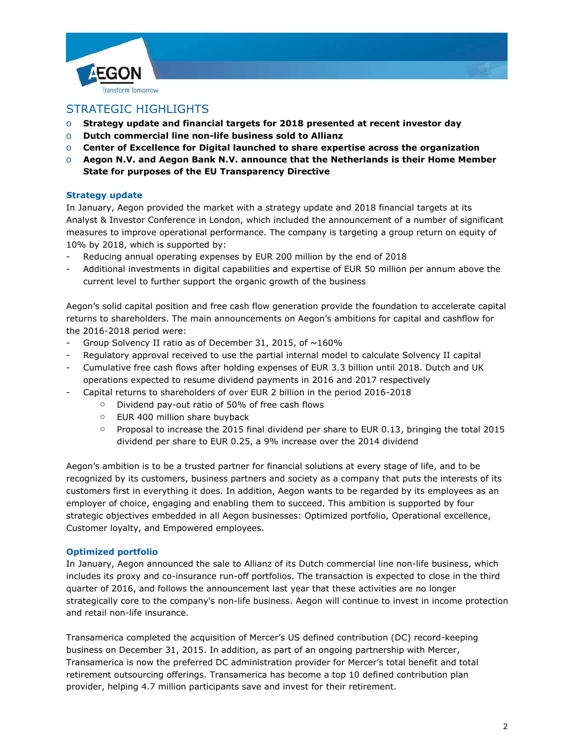



# STRATEGIC HIGHLIGHTS

- o **Strategy update and financial targets for 2018 presented at recent investor day**
- o **Dutch commercial line non-life business sold to Allianz**
- o **Center of Excellence for Digital launched to share expertise across the organization**
- o **Aegon N.V. and Aegon Bank N.V. announce that the Netherlands is their Home Member State for purposes of the EU Transparency Directive**

# **Strategy update**

In January, Aegon provided the market with a strategy update and 2018 financial targets at its Analyst & Investor Conference in London, which included the announcement of a number of significant measures to improve operational performance. The company is targeting a group return on equity of 10% by 2018, which is supported by:

- Reducing annual operating expenses by EUR 200 million by the end of 2018
- Additional investments in digital capabilities and expertise of EUR 50 million per annum above the current level to further support the organic growth of the business

Aegon's solid capital position and free cash flow generation provide the foundation to accelerate capital returns to shareholders. The main announcements on Aegon's ambitions for capital and cashflow for the 2016-2018 period were:

- Group Solvency II ratio as of December 31, 2015, of  $\sim$ 160%
- Regulatory approval received to use the partial internal model to calculate Solvency II capital
- Cumulative free cash flows after holding expenses of EUR 3.3 billion until 2018. Dutch and UK operations expected to resume dividend payments in 2016 and 2017 respectively
- Capital returns to shareholders of over EUR 2 billion in the period 2016-2018
	- o Dividend pay-out ratio of 50% of free cash flows
	- o EUR 400 million share buyback
	- o Proposal to increase the 2015 final dividend per share to EUR 0.13, bringing the total 2015 dividend per share to EUR 0.25, a 9% increase over the 2014 dividend

Aegon's ambition is to be a trusted partner for financial solutions at every stage of life, and to be recognized by its customers, business partners and society as a company that puts the interests of its customers first in everything it does. In addition, Aegon wants to be regarded by its employees as an employer of choice, engaging and enabling them to succeed. This ambition is supported by four strategic objectives embedded in all Aegon businesses: Optimized portfolio, Operational excellence, Customer loyalty, and Empowered employees.

# **Optimized portfolio**

In January, Aegon announced the sale to Allianz of its Dutch commercial line non-life business, which includes its proxy and co-insurance run-off portfolios. The transaction is expected to close in the third quarter of 2016, and follows the announcement last year that these activities are no longer strategically core to the company's non-life business. Aegon will continue to invest in income protection and retail non-life insurance.

Transamerica completed the acquisition of Mercer's US defined contribution (DC) record-keeping business on December 31, 2015. In addition, as part of an ongoing partnership with Mercer, Transamerica is now the preferred DC administration provider for Mercer's total benefit and total retirement outsourcing offerings. Transamerica has become a top 10 defined contribution plan provider, helping 4.7 million participants save and invest for their retirement.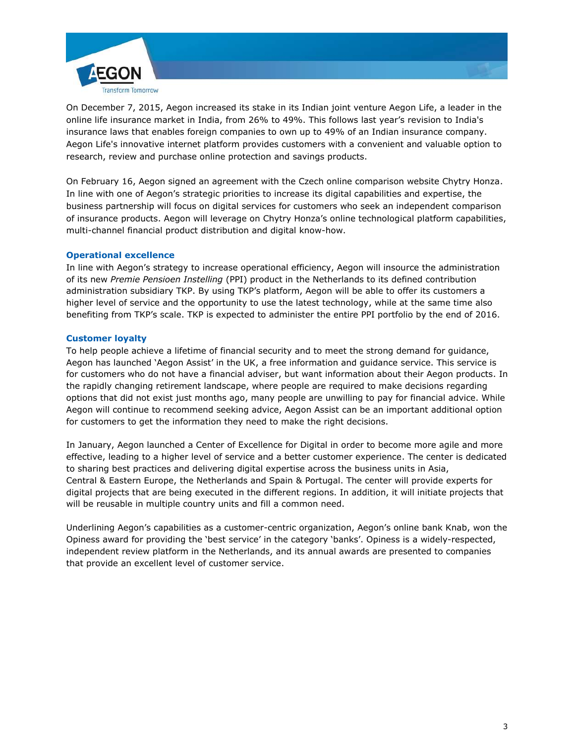

On December 7, 2015, Aegon increased its stake in its Indian joint venture Aegon Life, a leader in the online life insurance market in India, from 26% to 49%. This follows last year's revision to India's insurance laws that enables foreign companies to own up to 49% of an Indian insurance company. Aegon Life's innovative internet platform provides customers with a convenient and valuable option to research, review and purchase online protection and savings products.

On February 16, Aegon signed an agreement with the Czech online comparison website Chytry Honza. In line with one of Aegon's strategic priorities to increase its digital capabilities and expertise, the business partnership will focus on digital services for customers who seek an independent comparison of insurance products. Aegon will leverage on Chytry Honza's online technological platform capabilities, multi-channel financial product distribution and digital know-how.

# **Operational excellence**

In line with Aegon's strategy to increase operational efficiency, Aegon will insource the administration of its new *Premie Pensioen Instelling* (PPI) product in the Netherlands to its defined contribution administration subsidiary TKP. By using TKP's platform, Aegon will be able to offer its customers a higher level of service and the opportunity to use the latest technology, while at the same time also benefiting from TKP's scale. TKP is expected to administer the entire PPI portfolio by the end of 2016.

# **Customer loyalty**

To help people achieve a lifetime of financial security and to meet the strong demand for guidance, Aegon has launched 'Aegon Assist' in the UK, a free information and guidance service. This service is for customers who do not have a financial adviser, but want information about their Aegon products. In the rapidly changing retirement landscape, where people are required to make decisions regarding options that did not exist just months ago, many people are unwilling to pay for financial advice. While Aegon will continue to recommend seeking advice, Aegon Assist can be an important additional option for customers to get the information they need to make the right decisions.

In January, Aegon launched a Center of Excellence for Digital in order to become more agile and more effective, leading to a higher level of service and a better customer experience. The center is dedicated to sharing best practices and delivering digital expertise across the business units in Asia, Central & Eastern Europe, the Netherlands and Spain & Portugal. The center will provide experts for digital projects that are being executed in the different regions. In addition, it will initiate projects that will be reusable in multiple country units and fill a common need.

Underlining Aegon's capabilities as a customer-centric organization, Aegon's online bank Knab, won the Opiness award for providing the 'best service' in the category 'banks'. Opiness is a widely-respected, independent review platform in the Netherlands, and its annual awards are presented to companies that provide an excellent level of customer service.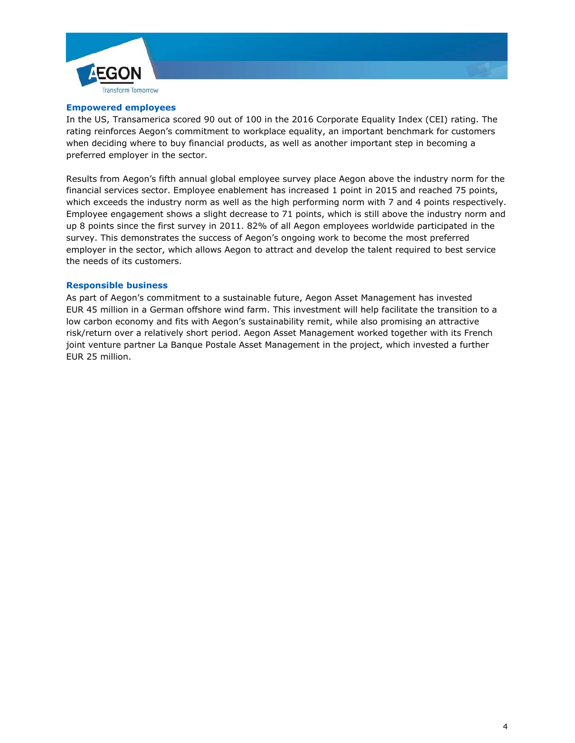

## **Empowered employees**

In the US, Transamerica scored 90 out of 100 in the 2016 Corporate Equality Index (CEI) rating. The rating reinforces Aegon's commitment to workplace equality, an important benchmark for customers when deciding where to buy financial products, as well as another important step in becoming a preferred employer in the sector.

Results from Aegon's fifth annual global employee survey place Aegon above the industry norm for the financial services sector. Employee enablement has increased 1 point in 2015 and reached 75 points, which exceeds the industry norm as well as the high performing norm with 7 and 4 points respectively. Employee engagement shows a slight decrease to 71 points, which is still above the industry norm and up 8 points since the first survey in 2011. 82% of all Aegon employees worldwide participated in the survey. This demonstrates the success of Aegon's ongoing work to become the most preferred employer in the sector, which allows Aegon to attract and develop the talent required to best service the needs of its customers.

#### **Responsible business**

As part of Aegon's commitment to a sustainable future, Aegon Asset Management has invested EUR 45 million in a German offshore wind farm. This investment will help facilitate the transition to a low carbon economy and fits with Aegon's sustainability remit, while also promising an attractive risk/return over a relatively short period. Aegon Asset Management worked together with its French joint venture partner La Banque Postale Asset Management in the project, which invested a further EUR 25 million.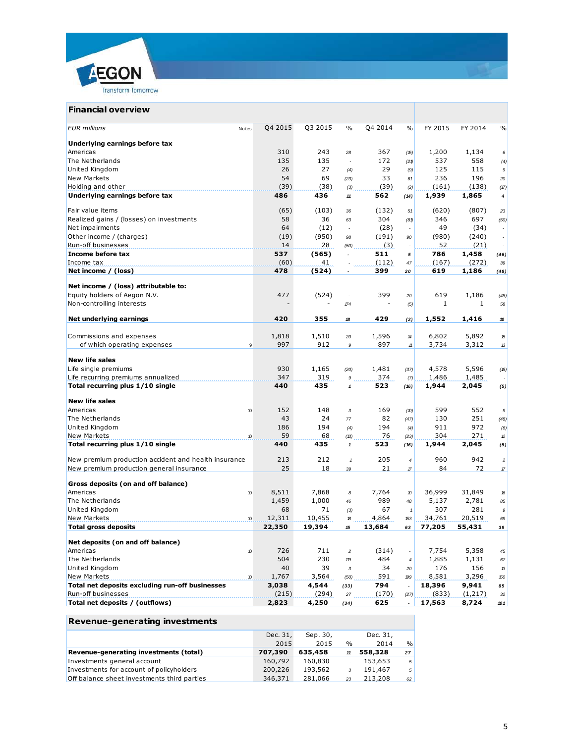



#### **Revenue-generating investments**

| Revenue-generating investments              |          |          |               |          |                |
|---------------------------------------------|----------|----------|---------------|----------|----------------|
|                                             | Dec. 31, | Sep. 30, |               | Dec. 31, |                |
|                                             | 2015     | 2015     | $\frac{0}{0}$ | 2014     | %              |
| Revenue-generating investments (total)      | 707,390  | 635,458  | 11            | 558,328  | 27             |
| Investments general account                 | 160,792  | 160,830  |               | 153,653  | 5 <sup>1</sup> |
| Investments for account of policyholders    | 200,226  | 193,562  | 3             | 191,467  | 5              |
| Off balance sheet investments third parties | 346,371  | 281,066  | 23            | 213,208  | 62             |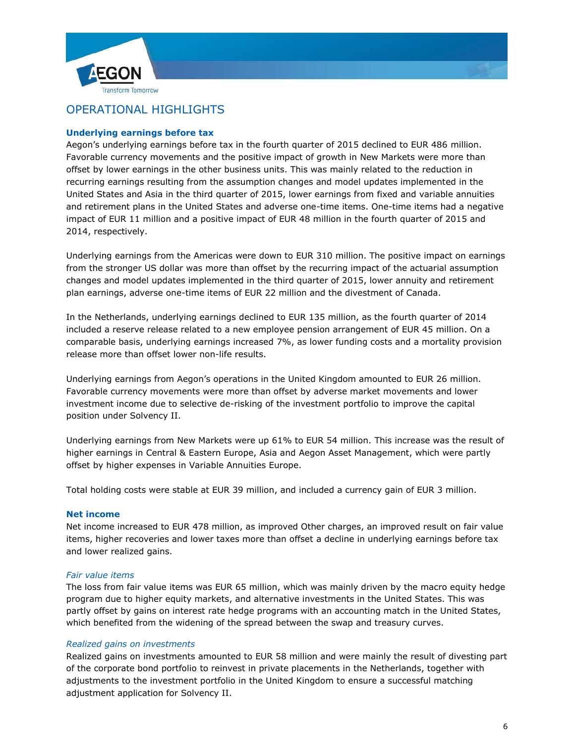



# OPERATIONAL HIGHLIGHTS

# **Underlying earnings before tax**

Aegon's underlying earnings before tax in the fourth quarter of 2015 declined to EUR 486 million. Favorable currency movements and the positive impact of growth in New Markets were more than offset by lower earnings in the other business units. This was mainly related to the reduction in recurring earnings resulting from the assumption changes and model updates implemented in the United States and Asia in the third quarter of 2015, lower earnings from fixed and variable annuities and retirement plans in the United States and adverse one-time items. One-time items had a negative impact of EUR 11 million and a positive impact of EUR 48 million in the fourth quarter of 2015 and 2014, respectively.

Underlying earnings from the Americas were down to EUR 310 million. The positive impact on earnings from the stronger US dollar was more than offset by the recurring impact of the actuarial assumption changes and model updates implemented in the third quarter of 2015, lower annuity and retirement plan earnings, adverse one-time items of EUR 22 million and the divestment of Canada.

In the Netherlands, underlying earnings declined to EUR 135 million, as the fourth quarter of 2014 included a reserve release related to a new employee pension arrangement of EUR 45 million. On a comparable basis, underlying earnings increased 7%, as lower funding costs and a mortality provision release more than offset lower non-life results.

Underlying earnings from Aegon's operations in the United Kingdom amounted to EUR 26 million. Favorable currency movements were more than offset by adverse market movements and lower investment income due to selective de-risking of the investment portfolio to improve the capital position under Solvency II.

Underlying earnings from New Markets were up 61% to EUR 54 million. This increase was the result of higher earnings in Central & Eastern Europe, Asia and Aegon Asset Management, which were partly offset by higher expenses in Variable Annuities Europe.

Total holding costs were stable at EUR 39 million, and included a currency gain of EUR 3 million.

# **Net income**

Net income increased to EUR 478 million, as improved Other charges, an improved result on fair value items, higher recoveries and lower taxes more than offset a decline in underlying earnings before tax and lower realized gains.

# *Fair value items*

The loss from fair value items was EUR 65 million, which was mainly driven by the macro equity hedge program due to higher equity markets, and alternative investments in the United States. This was partly offset by gains on interest rate hedge programs with an accounting match in the United States, which benefited from the widening of the spread between the swap and treasury curves.

# *Realized gains on investments*

Realized gains on investments amounted to EUR 58 million and were mainly the result of divesting part of the corporate bond portfolio to reinvest in private placements in the Netherlands, together with adjustments to the investment portfolio in the United Kingdom to ensure a successful matching adjustment application for Solvency II.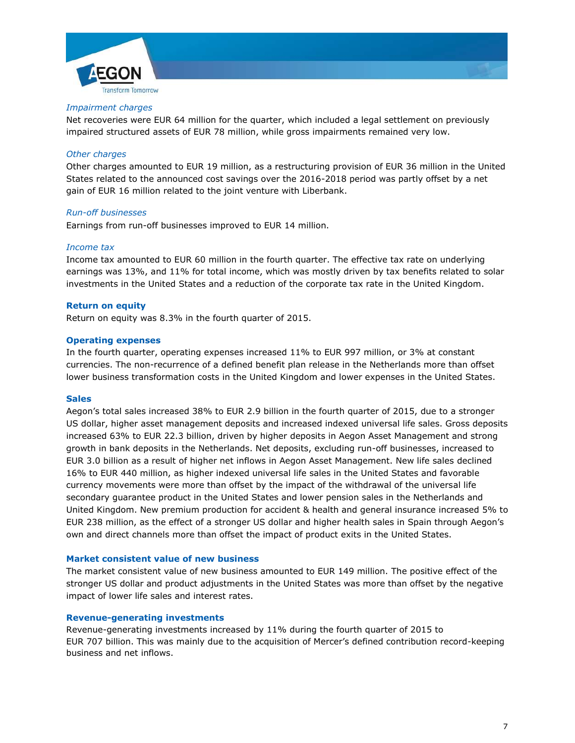



Net recoveries were EUR 64 million for the quarter, which included a legal settlement on previously impaired structured assets of EUR 78 million, while gross impairments remained very low.

### *Other charges*

Other charges amounted to EUR 19 million, as a restructuring provision of EUR 36 million in the United States related to the announced cost savings over the 2016-2018 period was partly offset by a net gain of EUR 16 million related to the joint venture with Liberbank.

#### *Run-off businesses*

Earnings from run-off businesses improved to EUR 14 million.

#### *Income tax*

Income tax amounted to EUR 60 million in the fourth quarter. The effective tax rate on underlying earnings was 13%, and 11% for total income, which was mostly driven by tax benefits related to solar investments in the United States and a reduction of the corporate tax rate in the United Kingdom.

#### **Return on equity**

Return on equity was 8.3% in the fourth quarter of 2015.

#### **Operating expenses**

In the fourth quarter, operating expenses increased 11% to EUR 997 million, or 3% at constant currencies. The non-recurrence of a defined benefit plan release in the Netherlands more than offset lower business transformation costs in the United Kingdom and lower expenses in the United States.

#### **Sales**

Aegon's total sales increased 38% to EUR 2.9 billion in the fourth quarter of 2015, due to a stronger US dollar, higher asset management deposits and increased indexed universal life sales. Gross deposits increased 63% to EUR 22.3 billion, driven by higher deposits in Aegon Asset Management and strong growth in bank deposits in the Netherlands. Net deposits, excluding run-off businesses, increased to EUR 3.0 billion as a result of higher net inflows in Aegon Asset Management. New life sales declined 16% to EUR 440 million, as higher indexed universal life sales in the United States and favorable currency movements were more than offset by the impact of the withdrawal of the universal life secondary guarantee product in the United States and lower pension sales in the Netherlands and United Kingdom. New premium production for accident & health and general insurance increased 5% to EUR 238 million, as the effect of a stronger US dollar and higher health sales in Spain through Aegon's own and direct channels more than offset the impact of product exits in the United States.

# **Market consistent value of new business**

The market consistent value of new business amounted to EUR 149 million. The positive effect of the stronger US dollar and product adjustments in the United States was more than offset by the negative impact of lower life sales and interest rates.

## **Revenue-generating investments**

Revenue-generating investments increased by 11% during the fourth quarter of 2015 to EUR 707 billion. This was mainly due to the acquisition of Mercer's defined contribution record-keeping business and net inflows.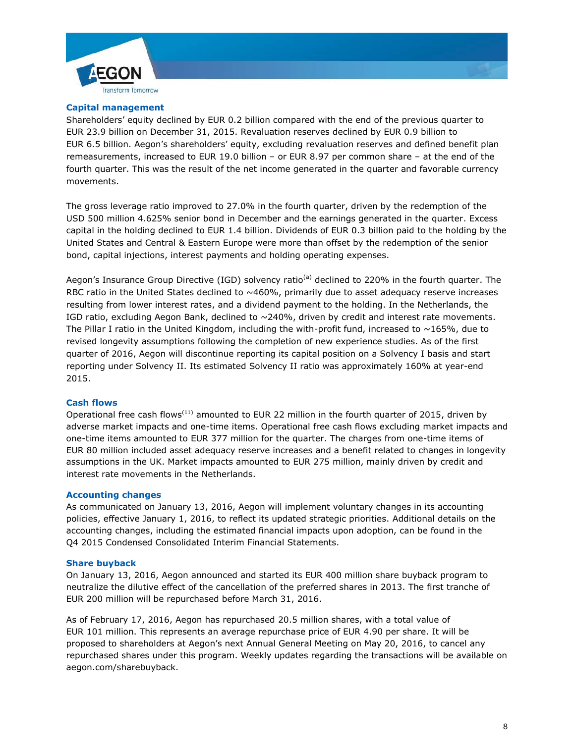



Shareholders' equity declined by EUR 0.2 billion compared with the end of the previous quarter to EUR 23.9 billion on December 31, 2015. Revaluation reserves declined by EUR 0.9 billion to EUR 6.5 billion. Aegon's shareholders' equity, excluding revaluation reserves and defined benefit plan remeasurements, increased to EUR 19.0 billion – or EUR 8.97 per common share – at the end of the fourth quarter. This was the result of the net income generated in the quarter and favorable currency movements.

The gross leverage ratio improved to 27.0% in the fourth quarter, driven by the redemption of the USD 500 million 4.625% senior bond in December and the earnings generated in the quarter. Excess capital in the holding declined to EUR 1.4 billion. Dividends of EUR 0.3 billion paid to the holding by the United States and Central & Eastern Europe were more than offset by the redemption of the senior bond, capital injections, interest payments and holding operating expenses.

Aegon's Insurance Group Directive (IGD) solvency ratio<sup>(a)</sup> declined to 220% in the fourth quarter. The RBC ratio in the United States declined to  $~460\%$ , primarily due to asset adequacy reserve increases resulting from lower interest rates, and a dividend payment to the holding. In the Netherlands, the IGD ratio, excluding Aegon Bank, declined to  $\sim$  240%, driven by credit and interest rate movements. The Pillar I ratio in the United Kingdom, including the with-profit fund, increased to  $~165\%$ , due to revised longevity assumptions following the completion of new experience studies. As of the first quarter of 2016, Aegon will discontinue reporting its capital position on a Solvency I basis and start reporting under Solvency II. Its estimated Solvency II ratio was approximately 160% at year-end 2015.

### **Cash flows**

Operational free cash flows<sup>(11)</sup> amounted to EUR 22 million in the fourth quarter of 2015, driven by adverse market impacts and one-time items. Operational free cash flows excluding market impacts and one-time items amounted to EUR 377 million for the quarter. The charges from one-time items of EUR 80 million included asset adequacy reserve increases and a benefit related to changes in longevity assumptions in the UK. Market impacts amounted to EUR 275 million, mainly driven by credit and interest rate movements in the Netherlands.

### **Accounting changes**

As communicated on January 13, 2016, Aegon will implement voluntary changes in its accounting policies, effective January 1, 2016, to reflect its updated strategic priorities. Additional details on the accounting changes, including the estimated financial impacts upon adoption, can be found in the Q4 2015 Condensed Consolidated Interim Financial Statements.

### **Share buyback**

On January 13, 2016, Aegon announced and started its EUR 400 million share buyback program to neutralize the dilutive effect of the cancellation of the preferred shares in 2013. The first tranche of EUR 200 million will be repurchased before March 31, 2016.

As of February 17, 2016, Aegon has repurchased 20.5 million shares, with a total value of EUR 101 million. This represents an average repurchase price of EUR 4.90 per share. It will be proposed to shareholders at Aegon's next Annual General Meeting on May 20, 2016, to cancel any repurchased shares under this program. Weekly updates regarding the transactions will be available on aegon.com/sharebuyback.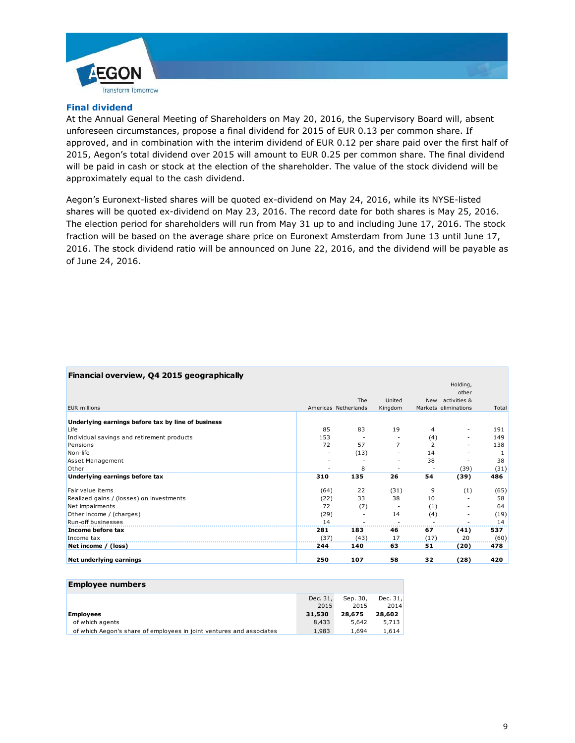

## **Final dividend**

At the Annual General Meeting of Shareholders on May 20, 2016, the Supervisory Board will, absent unforeseen circumstances, propose a final dividend for 2015 of EUR 0.13 per common share. If approved, and in combination with the interim dividend of EUR 0.12 per share paid over the first half of 2015, Aegon's total dividend over 2015 will amount to EUR 0.25 per common share. The final dividend will be paid in cash or stock at the election of the shareholder. The value of the stock dividend will be approximately equal to the cash dividend.

Aegon's Euronext-listed shares will be quoted ex-dividend on May 24, 2016, while its NYSE-listed shares will be quoted ex-dividend on May 23, 2016. The record date for both shares is May 25, 2016. The election period for shareholders will run from May 31 up to and including June 17, 2016. The stock fraction will be based on the average share price on Euronext Amsterdam from June 13 until June 17, 2016. The stock dividend ratio will be announced on June 22, 2016, and the dividend will be payable as of June 24, 2016.

| Financial overview, Q4 2015 geographically         |      |                      |         |                |                      |       |
|----------------------------------------------------|------|----------------------|---------|----------------|----------------------|-------|
|                                                    |      |                      |         |                | Holding,             |       |
|                                                    |      |                      |         |                | other                |       |
|                                                    |      | The                  | United  | New            | activities &         |       |
| <b>EUR</b> millions                                |      | Americas Netherlands | Kingdom |                | Markets eliminations | Total |
| Underlying earnings before tax by line of business |      |                      |         |                |                      |       |
| Life                                               | 85   | 83                   | 19      | 4              |                      | 191   |
| Individual savings and retirement products         | 153  |                      |         | (4)            |                      | 149   |
| Pensions                                           | 72   | 57                   | 7       | $\overline{2}$ |                      | 138   |
| Non-life                                           | ٠    | (13)                 |         | 14             |                      |       |
| Asset Management                                   |      |                      |         | 38             |                      | 38    |
| Other                                              |      | 8                    |         |                | (39)                 | (31)  |
| Underlying earnings before tax                     | 310  | 135                  | 26      | 54             | (39)                 | 486   |
| Fair value items                                   | (64) | 22                   | (31)    | 9              | (1)                  | (65)  |
| Realized gains / (losses) on investments           | (22) | 33                   | 38      | 10             |                      | 58    |
| Net impairments                                    | 72   | (7)                  |         | (1)            |                      | 64    |
| Other income / (charges)                           | (29) |                      | 14      | (4)            |                      | (19)  |
| Run-off businesses                                 | 14   |                      |         |                |                      | 14    |
| Income before tax                                  | 281  | 183                  | 46      | 67             | (41)                 | 537   |
| Income tax                                         | (37) | (43)                 | 17      | (17)           | 20                   | (60)  |
| Net income / (loss)                                | 244  | 140                  | 63      | 51             | (20)                 | 478   |
| Net underlying earnings                            | 250  | 107                  | 58      | 32             | (28)                 | 420   |
|                                                    |      |                      |         |                |                      |       |

#### **Employee numbers**

|                                                                      | Dec. 31, | Sep. 30, | Dec. $31,$ |
|----------------------------------------------------------------------|----------|----------|------------|
|                                                                      | 2015     | 2015     | 2014       |
| <b>Employees</b>                                                     | 31,530   | 28.675   | 28,602     |
| of which agents                                                      | 8,433    | 5,642    | 5.713      |
| of which Aegon's share of employees in joint ventures and associates | 1,983    | 1.694    | 1.614      |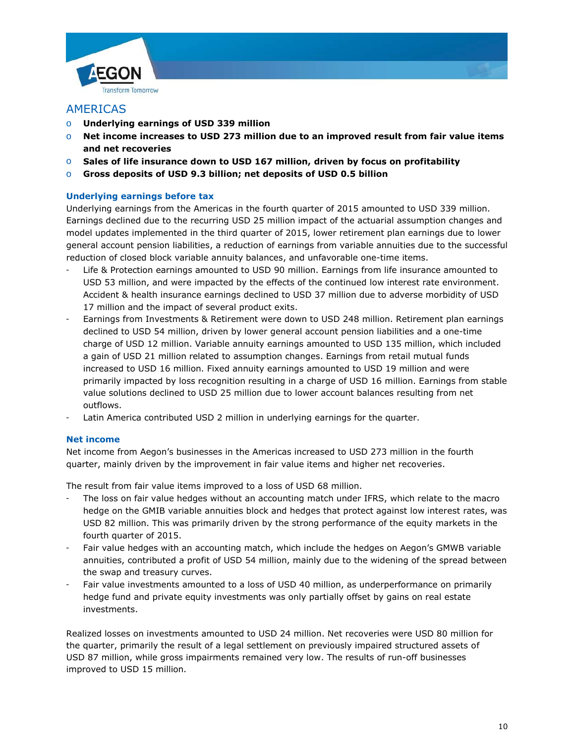

# AMERICAS

- o **Underlying earnings of USD 339 million**
- o **Net income increases to USD 273 million due to an improved result from fair value items and net recoveries**
- o **Sales of life insurance down to USD 167 million, driven by focus on profitability**
- o **Gross deposits of USD 9.3 billion; net deposits of USD 0.5 billion**

# **Underlying earnings before tax**

Underlying earnings from the Americas in the fourth quarter of 2015 amounted to USD 339 million. Earnings declined due to the recurring USD 25 million impact of the actuarial assumption changes and model updates implemented in the third quarter of 2015, lower retirement plan earnings due to lower general account pension liabilities, a reduction of earnings from variable annuities due to the successful reduction of closed block variable annuity balances, and unfavorable one-time items.

- Life & Protection earnings amounted to USD 90 million. Earnings from life insurance amounted to USD 53 million, and were impacted by the effects of the continued low interest rate environment. Accident & health insurance earnings declined to USD 37 million due to adverse morbidity of USD 17 million and the impact of several product exits.
- Earnings from Investments & Retirement were down to USD 248 million. Retirement plan earnings declined to USD 54 million, driven by lower general account pension liabilities and a one-time charge of USD 12 million. Variable annuity earnings amounted to USD 135 million, which included a gain of USD 21 million related to assumption changes. Earnings from retail mutual funds increased to USD 16 million. Fixed annuity earnings amounted to USD 19 million and were primarily impacted by loss recognition resulting in a charge of USD 16 million. Earnings from stable value solutions declined to USD 25 million due to lower account balances resulting from net outflows.
- Latin America contributed USD 2 million in underlying earnings for the quarter.

# **Net income**

Net income from Aegon's businesses in the Americas increased to USD 273 million in the fourth quarter, mainly driven by the improvement in fair value items and higher net recoveries.

The result from fair value items improved to a loss of USD 68 million.

- The loss on fair value hedges without an accounting match under IFRS, which relate to the macro hedge on the GMIB variable annuities block and hedges that protect against low interest rates, was USD 82 million. This was primarily driven by the strong performance of the equity markets in the fourth quarter of 2015.
- Fair value hedges with an accounting match, which include the hedges on Aegon's GMWB variable annuities, contributed a profit of USD 54 million, mainly due to the widening of the spread between the swap and treasury curves.
- Fair value investments amounted to a loss of USD 40 million, as underperformance on primarily hedge fund and private equity investments was only partially offset by gains on real estate investments.

Realized losses on investments amounted to USD 24 million. Net recoveries were USD 80 million for the quarter, primarily the result of a legal settlement on previously impaired structured assets of USD 87 million, while gross impairments remained very low. The results of run-off businesses improved to USD 15 million.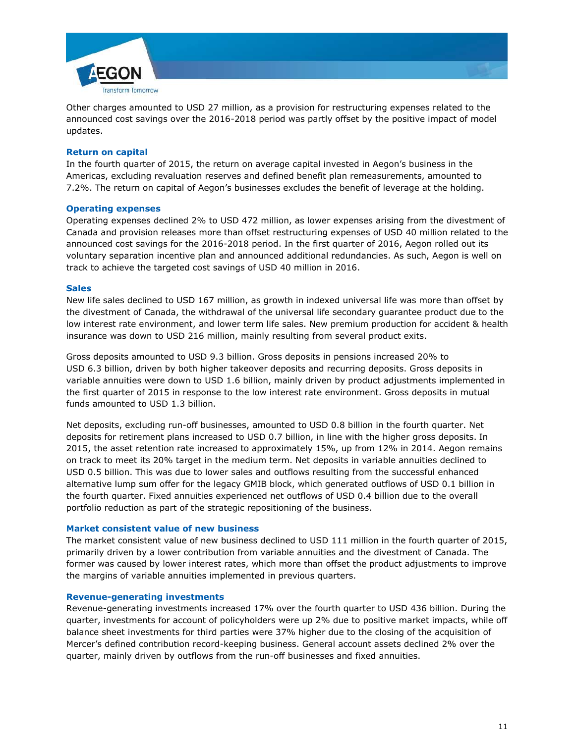

Other charges amounted to USD 27 million, as a provision for restructuring expenses related to the announced cost savings over the 2016-2018 period was partly offset by the positive impact of model updates.

# **Return on capital**

In the fourth quarter of 2015, the return on average capital invested in Aegon's business in the Americas, excluding revaluation reserves and defined benefit plan remeasurements, amounted to 7.2%. The return on capital of Aegon's businesses excludes the benefit of leverage at the holding.

### **Operating expenses**

Operating expenses declined 2% to USD 472 million, as lower expenses arising from the divestment of Canada and provision releases more than offset restructuring expenses of USD 40 million related to the announced cost savings for the 2016-2018 period. In the first quarter of 2016, Aegon rolled out its voluntary separation incentive plan and announced additional redundancies. As such, Aegon is well on track to achieve the targeted cost savings of USD 40 million in 2016.

#### **Sales**

New life sales declined to USD 167 million, as growth in indexed universal life was more than offset by the divestment of Canada, the withdrawal of the universal life secondary guarantee product due to the low interest rate environment, and lower term life sales. New premium production for accident & health insurance was down to USD 216 million, mainly resulting from several product exits.

Gross deposits amounted to USD 9.3 billion. Gross deposits in pensions increased 20% to USD 6.3 billion, driven by both higher takeover deposits and recurring deposits. Gross deposits in variable annuities were down to USD 1.6 billion, mainly driven by product adjustments implemented in the first quarter of 2015 in response to the low interest rate environment. Gross deposits in mutual funds amounted to USD 1.3 billion.

Net deposits, excluding run-off businesses, amounted to USD 0.8 billion in the fourth quarter. Net deposits for retirement plans increased to USD 0.7 billion, in line with the higher gross deposits. In 2015, the asset retention rate increased to approximately 15%, up from 12% in 2014. Aegon remains on track to meet its 20% target in the medium term. Net deposits in variable annuities declined to USD 0.5 billion. This was due to lower sales and outflows resulting from the successful enhanced alternative lump sum offer for the legacy GMIB block, which generated outflows of USD 0.1 billion in the fourth quarter. Fixed annuities experienced net outflows of USD 0.4 billion due to the overall portfolio reduction as part of the strategic repositioning of the business.

### **Market consistent value of new business**

The market consistent value of new business declined to USD 111 million in the fourth quarter of 2015, primarily driven by a lower contribution from variable annuities and the divestment of Canada. The former was caused by lower interest rates, which more than offset the product adjustments to improve the margins of variable annuities implemented in previous quarters.

#### **Revenue-generating investments**

Revenue-generating investments increased 17% over the fourth quarter to USD 436 billion. During the quarter, investments for account of policyholders were up 2% due to positive market impacts, while off balance sheet investments for third parties were 37% higher due to the closing of the acquisition of Mercer's defined contribution record-keeping business. General account assets declined 2% over the quarter, mainly driven by outflows from the run-off businesses and fixed annuities.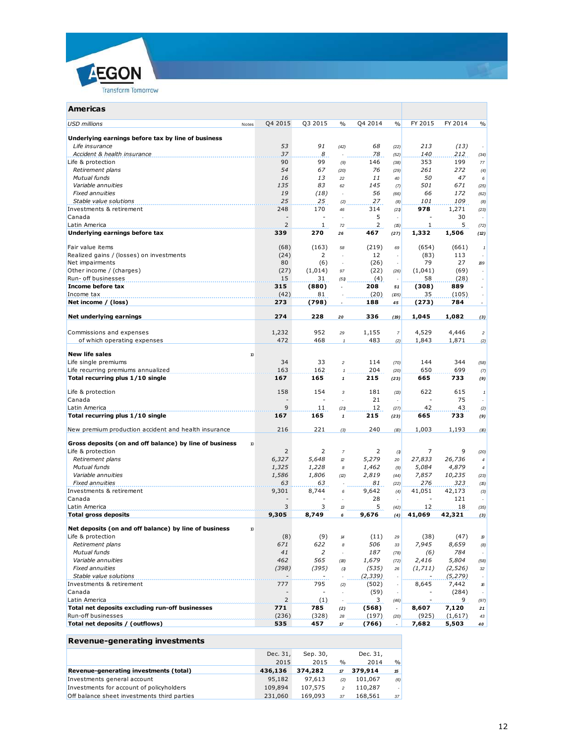

| Q4 2015<br>Q3 2015<br>$\frac{0}{0}$<br>Q4 2014<br>$\frac{0}{0}$<br>FY 2015<br>FY 2014<br><b>USD millions</b><br>$\frac{0}{0}$<br>Notes<br>Underlying earnings before tax by line of business<br>53<br>91<br>68<br>213<br>(13)<br>Life insurance<br>(42)<br>(22)<br>8<br>37<br>78<br>140<br>212<br>Accident & health insurance<br>(52)<br>(34)<br>90<br>99<br>353<br>Life & protection<br>146<br>199<br>(9)<br>(38)<br>77<br>54<br>67<br>76<br>261<br>272<br>Retirement plans<br>(20)<br>(29)<br>(4)<br>Mutual funds<br>16<br>47<br>13<br>11<br>50<br>22<br>40<br>6<br>83<br>145<br>Variable annuities<br>135<br>501<br>671<br>62<br>(7)<br>(25)<br><b>Fixed annuities</b><br>19<br>(18)<br>56<br>172<br>66<br>ä,<br>(66)<br>(62)<br>25<br>25<br>27<br>109<br>Stable value solutions<br>101<br>(2)<br>(8)<br>(8)<br>248<br>170<br>314<br>978<br>1,271<br>Investments & retirement<br>46<br>(21)<br>(23)<br>Canada<br>5<br>30<br>$\overline{\phantom{a}}$<br>$\sim$<br>$\overline{2}$<br>$\overline{2}$<br>5<br>$\mathbf{1}$<br>Latin America<br>1<br>72<br>(72)<br>(15)<br>339<br>270<br>467<br>1,506<br>Underlying earnings before tax<br>1,332<br>(27)<br>(12)<br>26<br>(163)<br>Fair value items<br>(68)<br>(219)<br>(654)<br>(661)<br>69<br>58<br>$\mathbf{1}$<br>$\overline{2}$<br>Realized gains / (losses) on investments<br>(24)<br>12<br>(83)<br>113<br>÷<br>80<br>(26)<br>79<br>27<br>Net impairments<br>(6)<br>$\overline{\phantom{a}}$<br>189<br>$\bar{a}$<br>Other income / (charges)<br>(1,014)<br>(22)<br>(69)<br>(27)<br>(1,041)<br>97<br>(26)<br>$\sim$<br>15<br>(4)<br>Run- off businesses<br>31<br>58<br>(28)<br>(51)<br>Income before tax<br>315<br>208<br>889<br>(880)<br>(308)<br>$\overline{\phantom{a}}$<br>51<br>$\overline{\phantom{a}}$<br>Income tax<br>(42)<br>81<br>(20)<br>35<br>(105)<br>(105)<br>Net income / (loss)<br>(798)<br>188<br>784<br>273<br>(273)<br>45<br>$\overline{\phantom{a}}$<br>$\sim$<br>Net underlying earnings<br>274<br>228<br>336<br>1,045<br>1,082<br>(19)<br>20<br>(3)<br>952<br>Commissions and expenses<br>1,232<br>1,155<br>4,529<br>4,446<br>29<br>$\overline{\mathbf{r}}$<br>$\overline{c}$<br>472<br>468<br>483<br>of which operating expenses<br>1,843<br>1,871<br>(2)<br>$^\mathrm{1}$<br>(2)<br><b>New life sales</b><br>10<br>33<br>Life single premiums<br>34<br>114<br>144<br>344<br>$\overline{c}$<br>(70)<br>(58)<br>163<br>162<br>204<br>650<br>699<br>Life recurring premiums annualized<br>(20)<br>(7)<br>$\mathbf{1}$<br>Total recurring plus 1/10 single<br>167<br>165<br>215<br>665<br>733<br>$\pmb{\mathcal{I}}$<br>(23)<br>(9)<br>158<br>154<br>181<br>615<br>Life & protection<br>622<br>$\sqrt{3}$<br>(13)<br>1<br>75<br>Canada<br>21<br>$\sim$<br>÷,<br>÷,<br>$\overline{\phantom{a}}$<br>9<br>11<br>12<br>42<br>43<br>Latin America<br>(21)<br>(27)<br>(2)<br>Total recurring plus 1/10 single<br>167<br>165<br>215<br>665<br>733<br>$\mathbf{1}$<br>(23)<br>(9)<br>216<br>221<br>240<br>New premium production accident and health insurance<br>1,003<br>1,193<br>(D)<br>(16)<br>(3)<br>Gross deposits (on and off balance) by line of business<br>10<br>Life & protection<br>2<br>2<br>2<br>9<br>7<br>$\boldsymbol{7}$<br>(1)<br>(20)<br>6,327<br>5,648<br>5,279<br>27,833<br>26,736<br>Retirement plans<br>$\mathcal{D}$<br>20<br>$\boldsymbol{4}$<br>4,879<br>Mutual funds<br>1,325<br>1,228<br>1,462<br>5,084<br>8<br>(9)<br>$\overline{4}$<br>Variable annuities<br>1,586<br>1,806<br>2,819<br>7,857<br>10,235<br>(44)<br>(2)<br>(23)<br><b>Fixed annuities</b><br>63<br>63<br>81<br>276<br>323<br>(15)<br>(22)<br>9,301<br>8,744<br>41,051<br>42,173<br>9,642<br>(4)<br>6<br>(3)<br>28<br>121<br>$\qquad \qquad -$<br>٠<br>×.<br>5<br>3<br>3<br>Latin America<br>12<br>18<br>13<br>(42)<br>(35)<br>9,305<br>8,749<br>9,676<br>41,069<br>42,321<br><b>Total gross deposits</b><br>6<br>(4)<br>(3)<br>Net deposits (on and off balance) by line of business<br>10<br>Life & protection<br>(9)<br>(47)<br>(8)<br>(11)<br>(38)<br>14<br>$\mathcal{B}% _{T}=\mathcal{A}_{T}\!\left( a,b\right) ,\ \mathcal{A}_{T}=\mathcal{A}_{T}\!\left( a,b\right) ,$<br>29<br>Retirement plans<br>671<br>622<br>506<br>7,945<br>8,659<br>8<br>33<br>(8)<br>Mutual funds<br>41<br>2<br>187<br>784<br>(6)<br>(78)<br>÷.<br>5,804<br>Variable annuities<br>462<br>565<br>1,679<br>2,416<br>(B)<br>(72)<br>(58)<br><b>Fixed annuities</b><br>(398)<br>(395)<br>(535)<br>(1,711)<br>(2, 526)<br>$32\,$<br>(1)<br>26<br>Stable value solutions<br>(2, 339)<br>(5, 279)<br>$\overline{\phantom{a}}$<br>Investments & retirement<br>795<br>777<br>(502)<br>8,645<br>7,442<br>16<br>(2)<br>Canada<br>(59)<br>(284)<br>$\overline{\phantom{a}}$<br>$\overline{2}$<br>Latin America<br>(1)<br>3 <sub>1</sub><br>9<br>(46)<br>(97)<br>Total net deposits excluding run-off businesses<br>771<br>785<br>(568)<br>8,607<br>7,120<br>(2)<br>21<br>$\overline{\phantom{a}}$<br>Run-off businesses<br>(236)<br>(328)<br>(925)<br>(1,617)<br>(197)<br>28<br>(20)<br>43<br>Total net deposits / (outflows)<br>535<br>457<br>7,682<br>5,503<br>$17\,$<br>(766)<br>$\blacksquare$<br>40 | Americas                 |  |  |  |  |
|-------------------------------------------------------------------------------------------------------------------------------------------------------------------------------------------------------------------------------------------------------------------------------------------------------------------------------------------------------------------------------------------------------------------------------------------------------------------------------------------------------------------------------------------------------------------------------------------------------------------------------------------------------------------------------------------------------------------------------------------------------------------------------------------------------------------------------------------------------------------------------------------------------------------------------------------------------------------------------------------------------------------------------------------------------------------------------------------------------------------------------------------------------------------------------------------------------------------------------------------------------------------------------------------------------------------------------------------------------------------------------------------------------------------------------------------------------------------------------------------------------------------------------------------------------------------------------------------------------------------------------------------------------------------------------------------------------------------------------------------------------------------------------------------------------------------------------------------------------------------------------------------------------------------------------------------------------------------------------------------------------------------------------------------------------------------------------------------------------------------------------------------------------------------------------------------------------------------------------------------------------------------------------------------------------------------------------------------------------------------------------------------------------------------------------------------------------------------------------------------------------------------------------------------------------------------------------------------------------------------------------------------------------------------------------------------------------------------------------------------------------------------------------------------------------------------------------------------------------------------------------------------------------------------------------------------------------------------------------------------------------------------------------------------------------------------------------------------------------------------------------------------------------------------------------------------------------------------------------------------------------------------------------------------------------------------------------------------------------------------------------------------------------------------------------------------------------------------------------------------------------------------------------------------------------------------------------------------------------------------------------------------------------------------------------------------------------------------------------------------------------------------------------------------------------------------------------------------------------------------------------------------------------------------------------------------------------------------------------------------------------------------------------------------------------------------------------------------------------------------------------------------------------------------------------------------------------------------------------------------------------------------------------------------------------------------------------------------------------------------------------------------------------------------------------------------------------------------------------------------------------------------------------------------------------------------------------------------------------------------------------------------------------------------------------------------------------------------------------------------------------------------------------------------------------------------------------------------------------------------------------------------------------------------------------------------------------------------------------------------------------------------------------------------------------------------------------------------------------------------------------------------|--------------------------|--|--|--|--|
|                                                                                                                                                                                                                                                                                                                                                                                                                                                                                                                                                                                                                                                                                                                                                                                                                                                                                                                                                                                                                                                                                                                                                                                                                                                                                                                                                                                                                                                                                                                                                                                                                                                                                                                                                                                                                                                                                                                                                                                                                                                                                                                                                                                                                                                                                                                                                                                                                                                                                                                                                                                                                                                                                                                                                                                                                                                                                                                                                                                                                                                                                                                                                                                                                                                                                                                                                                                                                                                                                                                                                                                                                                                                                                                                                                                                                                                                                                                                                                                                                                                                                                                                                                                                                                                                                                                                                                                                                                                                                                                                                                                                                                                                                                                                                                                                                                                                                                                                                                                                                                                                                                                                           |                          |  |  |  |  |
|                                                                                                                                                                                                                                                                                                                                                                                                                                                                                                                                                                                                                                                                                                                                                                                                                                                                                                                                                                                                                                                                                                                                                                                                                                                                                                                                                                                                                                                                                                                                                                                                                                                                                                                                                                                                                                                                                                                                                                                                                                                                                                                                                                                                                                                                                                                                                                                                                                                                                                                                                                                                                                                                                                                                                                                                                                                                                                                                                                                                                                                                                                                                                                                                                                                                                                                                                                                                                                                                                                                                                                                                                                                                                                                                                                                                                                                                                                                                                                                                                                                                                                                                                                                                                                                                                                                                                                                                                                                                                                                                                                                                                                                                                                                                                                                                                                                                                                                                                                                                                                                                                                                                           |                          |  |  |  |  |
|                                                                                                                                                                                                                                                                                                                                                                                                                                                                                                                                                                                                                                                                                                                                                                                                                                                                                                                                                                                                                                                                                                                                                                                                                                                                                                                                                                                                                                                                                                                                                                                                                                                                                                                                                                                                                                                                                                                                                                                                                                                                                                                                                                                                                                                                                                                                                                                                                                                                                                                                                                                                                                                                                                                                                                                                                                                                                                                                                                                                                                                                                                                                                                                                                                                                                                                                                                                                                                                                                                                                                                                                                                                                                                                                                                                                                                                                                                                                                                                                                                                                                                                                                                                                                                                                                                                                                                                                                                                                                                                                                                                                                                                                                                                                                                                                                                                                                                                                                                                                                                                                                                                                           |                          |  |  |  |  |
|                                                                                                                                                                                                                                                                                                                                                                                                                                                                                                                                                                                                                                                                                                                                                                                                                                                                                                                                                                                                                                                                                                                                                                                                                                                                                                                                                                                                                                                                                                                                                                                                                                                                                                                                                                                                                                                                                                                                                                                                                                                                                                                                                                                                                                                                                                                                                                                                                                                                                                                                                                                                                                                                                                                                                                                                                                                                                                                                                                                                                                                                                                                                                                                                                                                                                                                                                                                                                                                                                                                                                                                                                                                                                                                                                                                                                                                                                                                                                                                                                                                                                                                                                                                                                                                                                                                                                                                                                                                                                                                                                                                                                                                                                                                                                                                                                                                                                                                                                                                                                                                                                                                                           |                          |  |  |  |  |
|                                                                                                                                                                                                                                                                                                                                                                                                                                                                                                                                                                                                                                                                                                                                                                                                                                                                                                                                                                                                                                                                                                                                                                                                                                                                                                                                                                                                                                                                                                                                                                                                                                                                                                                                                                                                                                                                                                                                                                                                                                                                                                                                                                                                                                                                                                                                                                                                                                                                                                                                                                                                                                                                                                                                                                                                                                                                                                                                                                                                                                                                                                                                                                                                                                                                                                                                                                                                                                                                                                                                                                                                                                                                                                                                                                                                                                                                                                                                                                                                                                                                                                                                                                                                                                                                                                                                                                                                                                                                                                                                                                                                                                                                                                                                                                                                                                                                                                                                                                                                                                                                                                                                           |                          |  |  |  |  |
|                                                                                                                                                                                                                                                                                                                                                                                                                                                                                                                                                                                                                                                                                                                                                                                                                                                                                                                                                                                                                                                                                                                                                                                                                                                                                                                                                                                                                                                                                                                                                                                                                                                                                                                                                                                                                                                                                                                                                                                                                                                                                                                                                                                                                                                                                                                                                                                                                                                                                                                                                                                                                                                                                                                                                                                                                                                                                                                                                                                                                                                                                                                                                                                                                                                                                                                                                                                                                                                                                                                                                                                                                                                                                                                                                                                                                                                                                                                                                                                                                                                                                                                                                                                                                                                                                                                                                                                                                                                                                                                                                                                                                                                                                                                                                                                                                                                                                                                                                                                                                                                                                                                                           |                          |  |  |  |  |
|                                                                                                                                                                                                                                                                                                                                                                                                                                                                                                                                                                                                                                                                                                                                                                                                                                                                                                                                                                                                                                                                                                                                                                                                                                                                                                                                                                                                                                                                                                                                                                                                                                                                                                                                                                                                                                                                                                                                                                                                                                                                                                                                                                                                                                                                                                                                                                                                                                                                                                                                                                                                                                                                                                                                                                                                                                                                                                                                                                                                                                                                                                                                                                                                                                                                                                                                                                                                                                                                                                                                                                                                                                                                                                                                                                                                                                                                                                                                                                                                                                                                                                                                                                                                                                                                                                                                                                                                                                                                                                                                                                                                                                                                                                                                                                                                                                                                                                                                                                                                                                                                                                                                           |                          |  |  |  |  |
|                                                                                                                                                                                                                                                                                                                                                                                                                                                                                                                                                                                                                                                                                                                                                                                                                                                                                                                                                                                                                                                                                                                                                                                                                                                                                                                                                                                                                                                                                                                                                                                                                                                                                                                                                                                                                                                                                                                                                                                                                                                                                                                                                                                                                                                                                                                                                                                                                                                                                                                                                                                                                                                                                                                                                                                                                                                                                                                                                                                                                                                                                                                                                                                                                                                                                                                                                                                                                                                                                                                                                                                                                                                                                                                                                                                                                                                                                                                                                                                                                                                                                                                                                                                                                                                                                                                                                                                                                                                                                                                                                                                                                                                                                                                                                                                                                                                                                                                                                                                                                                                                                                                                           |                          |  |  |  |  |
|                                                                                                                                                                                                                                                                                                                                                                                                                                                                                                                                                                                                                                                                                                                                                                                                                                                                                                                                                                                                                                                                                                                                                                                                                                                                                                                                                                                                                                                                                                                                                                                                                                                                                                                                                                                                                                                                                                                                                                                                                                                                                                                                                                                                                                                                                                                                                                                                                                                                                                                                                                                                                                                                                                                                                                                                                                                                                                                                                                                                                                                                                                                                                                                                                                                                                                                                                                                                                                                                                                                                                                                                                                                                                                                                                                                                                                                                                                                                                                                                                                                                                                                                                                                                                                                                                                                                                                                                                                                                                                                                                                                                                                                                                                                                                                                                                                                                                                                                                                                                                                                                                                                                           |                          |  |  |  |  |
|                                                                                                                                                                                                                                                                                                                                                                                                                                                                                                                                                                                                                                                                                                                                                                                                                                                                                                                                                                                                                                                                                                                                                                                                                                                                                                                                                                                                                                                                                                                                                                                                                                                                                                                                                                                                                                                                                                                                                                                                                                                                                                                                                                                                                                                                                                                                                                                                                                                                                                                                                                                                                                                                                                                                                                                                                                                                                                                                                                                                                                                                                                                                                                                                                                                                                                                                                                                                                                                                                                                                                                                                                                                                                                                                                                                                                                                                                                                                                                                                                                                                                                                                                                                                                                                                                                                                                                                                                                                                                                                                                                                                                                                                                                                                                                                                                                                                                                                                                                                                                                                                                                                                           |                          |  |  |  |  |
|                                                                                                                                                                                                                                                                                                                                                                                                                                                                                                                                                                                                                                                                                                                                                                                                                                                                                                                                                                                                                                                                                                                                                                                                                                                                                                                                                                                                                                                                                                                                                                                                                                                                                                                                                                                                                                                                                                                                                                                                                                                                                                                                                                                                                                                                                                                                                                                                                                                                                                                                                                                                                                                                                                                                                                                                                                                                                                                                                                                                                                                                                                                                                                                                                                                                                                                                                                                                                                                                                                                                                                                                                                                                                                                                                                                                                                                                                                                                                                                                                                                                                                                                                                                                                                                                                                                                                                                                                                                                                                                                                                                                                                                                                                                                                                                                                                                                                                                                                                                                                                                                                                                                           |                          |  |  |  |  |
|                                                                                                                                                                                                                                                                                                                                                                                                                                                                                                                                                                                                                                                                                                                                                                                                                                                                                                                                                                                                                                                                                                                                                                                                                                                                                                                                                                                                                                                                                                                                                                                                                                                                                                                                                                                                                                                                                                                                                                                                                                                                                                                                                                                                                                                                                                                                                                                                                                                                                                                                                                                                                                                                                                                                                                                                                                                                                                                                                                                                                                                                                                                                                                                                                                                                                                                                                                                                                                                                                                                                                                                                                                                                                                                                                                                                                                                                                                                                                                                                                                                                                                                                                                                                                                                                                                                                                                                                                                                                                                                                                                                                                                                                                                                                                                                                                                                                                                                                                                                                                                                                                                                                           |                          |  |  |  |  |
|                                                                                                                                                                                                                                                                                                                                                                                                                                                                                                                                                                                                                                                                                                                                                                                                                                                                                                                                                                                                                                                                                                                                                                                                                                                                                                                                                                                                                                                                                                                                                                                                                                                                                                                                                                                                                                                                                                                                                                                                                                                                                                                                                                                                                                                                                                                                                                                                                                                                                                                                                                                                                                                                                                                                                                                                                                                                                                                                                                                                                                                                                                                                                                                                                                                                                                                                                                                                                                                                                                                                                                                                                                                                                                                                                                                                                                                                                                                                                                                                                                                                                                                                                                                                                                                                                                                                                                                                                                                                                                                                                                                                                                                                                                                                                                                                                                                                                                                                                                                                                                                                                                                                           |                          |  |  |  |  |
|                                                                                                                                                                                                                                                                                                                                                                                                                                                                                                                                                                                                                                                                                                                                                                                                                                                                                                                                                                                                                                                                                                                                                                                                                                                                                                                                                                                                                                                                                                                                                                                                                                                                                                                                                                                                                                                                                                                                                                                                                                                                                                                                                                                                                                                                                                                                                                                                                                                                                                                                                                                                                                                                                                                                                                                                                                                                                                                                                                                                                                                                                                                                                                                                                                                                                                                                                                                                                                                                                                                                                                                                                                                                                                                                                                                                                                                                                                                                                                                                                                                                                                                                                                                                                                                                                                                                                                                                                                                                                                                                                                                                                                                                                                                                                                                                                                                                                                                                                                                                                                                                                                                                           |                          |  |  |  |  |
|                                                                                                                                                                                                                                                                                                                                                                                                                                                                                                                                                                                                                                                                                                                                                                                                                                                                                                                                                                                                                                                                                                                                                                                                                                                                                                                                                                                                                                                                                                                                                                                                                                                                                                                                                                                                                                                                                                                                                                                                                                                                                                                                                                                                                                                                                                                                                                                                                                                                                                                                                                                                                                                                                                                                                                                                                                                                                                                                                                                                                                                                                                                                                                                                                                                                                                                                                                                                                                                                                                                                                                                                                                                                                                                                                                                                                                                                                                                                                                                                                                                                                                                                                                                                                                                                                                                                                                                                                                                                                                                                                                                                                                                                                                                                                                                                                                                                                                                                                                                                                                                                                                                                           |                          |  |  |  |  |
|                                                                                                                                                                                                                                                                                                                                                                                                                                                                                                                                                                                                                                                                                                                                                                                                                                                                                                                                                                                                                                                                                                                                                                                                                                                                                                                                                                                                                                                                                                                                                                                                                                                                                                                                                                                                                                                                                                                                                                                                                                                                                                                                                                                                                                                                                                                                                                                                                                                                                                                                                                                                                                                                                                                                                                                                                                                                                                                                                                                                                                                                                                                                                                                                                                                                                                                                                                                                                                                                                                                                                                                                                                                                                                                                                                                                                                                                                                                                                                                                                                                                                                                                                                                                                                                                                                                                                                                                                                                                                                                                                                                                                                                                                                                                                                                                                                                                                                                                                                                                                                                                                                                                           |                          |  |  |  |  |
|                                                                                                                                                                                                                                                                                                                                                                                                                                                                                                                                                                                                                                                                                                                                                                                                                                                                                                                                                                                                                                                                                                                                                                                                                                                                                                                                                                                                                                                                                                                                                                                                                                                                                                                                                                                                                                                                                                                                                                                                                                                                                                                                                                                                                                                                                                                                                                                                                                                                                                                                                                                                                                                                                                                                                                                                                                                                                                                                                                                                                                                                                                                                                                                                                                                                                                                                                                                                                                                                                                                                                                                                                                                                                                                                                                                                                                                                                                                                                                                                                                                                                                                                                                                                                                                                                                                                                                                                                                                                                                                                                                                                                                                                                                                                                                                                                                                                                                                                                                                                                                                                                                                                           |                          |  |  |  |  |
|                                                                                                                                                                                                                                                                                                                                                                                                                                                                                                                                                                                                                                                                                                                                                                                                                                                                                                                                                                                                                                                                                                                                                                                                                                                                                                                                                                                                                                                                                                                                                                                                                                                                                                                                                                                                                                                                                                                                                                                                                                                                                                                                                                                                                                                                                                                                                                                                                                                                                                                                                                                                                                                                                                                                                                                                                                                                                                                                                                                                                                                                                                                                                                                                                                                                                                                                                                                                                                                                                                                                                                                                                                                                                                                                                                                                                                                                                                                                                                                                                                                                                                                                                                                                                                                                                                                                                                                                                                                                                                                                                                                                                                                                                                                                                                                                                                                                                                                                                                                                                                                                                                                                           |                          |  |  |  |  |
|                                                                                                                                                                                                                                                                                                                                                                                                                                                                                                                                                                                                                                                                                                                                                                                                                                                                                                                                                                                                                                                                                                                                                                                                                                                                                                                                                                                                                                                                                                                                                                                                                                                                                                                                                                                                                                                                                                                                                                                                                                                                                                                                                                                                                                                                                                                                                                                                                                                                                                                                                                                                                                                                                                                                                                                                                                                                                                                                                                                                                                                                                                                                                                                                                                                                                                                                                                                                                                                                                                                                                                                                                                                                                                                                                                                                                                                                                                                                                                                                                                                                                                                                                                                                                                                                                                                                                                                                                                                                                                                                                                                                                                                                                                                                                                                                                                                                                                                                                                                                                                                                                                                                           |                          |  |  |  |  |
|                                                                                                                                                                                                                                                                                                                                                                                                                                                                                                                                                                                                                                                                                                                                                                                                                                                                                                                                                                                                                                                                                                                                                                                                                                                                                                                                                                                                                                                                                                                                                                                                                                                                                                                                                                                                                                                                                                                                                                                                                                                                                                                                                                                                                                                                                                                                                                                                                                                                                                                                                                                                                                                                                                                                                                                                                                                                                                                                                                                                                                                                                                                                                                                                                                                                                                                                                                                                                                                                                                                                                                                                                                                                                                                                                                                                                                                                                                                                                                                                                                                                                                                                                                                                                                                                                                                                                                                                                                                                                                                                                                                                                                                                                                                                                                                                                                                                                                                                                                                                                                                                                                                                           |                          |  |  |  |  |
|                                                                                                                                                                                                                                                                                                                                                                                                                                                                                                                                                                                                                                                                                                                                                                                                                                                                                                                                                                                                                                                                                                                                                                                                                                                                                                                                                                                                                                                                                                                                                                                                                                                                                                                                                                                                                                                                                                                                                                                                                                                                                                                                                                                                                                                                                                                                                                                                                                                                                                                                                                                                                                                                                                                                                                                                                                                                                                                                                                                                                                                                                                                                                                                                                                                                                                                                                                                                                                                                                                                                                                                                                                                                                                                                                                                                                                                                                                                                                                                                                                                                                                                                                                                                                                                                                                                                                                                                                                                                                                                                                                                                                                                                                                                                                                                                                                                                                                                                                                                                                                                                                                                                           |                          |  |  |  |  |
|                                                                                                                                                                                                                                                                                                                                                                                                                                                                                                                                                                                                                                                                                                                                                                                                                                                                                                                                                                                                                                                                                                                                                                                                                                                                                                                                                                                                                                                                                                                                                                                                                                                                                                                                                                                                                                                                                                                                                                                                                                                                                                                                                                                                                                                                                                                                                                                                                                                                                                                                                                                                                                                                                                                                                                                                                                                                                                                                                                                                                                                                                                                                                                                                                                                                                                                                                                                                                                                                                                                                                                                                                                                                                                                                                                                                                                                                                                                                                                                                                                                                                                                                                                                                                                                                                                                                                                                                                                                                                                                                                                                                                                                                                                                                                                                                                                                                                                                                                                                                                                                                                                                                           |                          |  |  |  |  |
|                                                                                                                                                                                                                                                                                                                                                                                                                                                                                                                                                                                                                                                                                                                                                                                                                                                                                                                                                                                                                                                                                                                                                                                                                                                                                                                                                                                                                                                                                                                                                                                                                                                                                                                                                                                                                                                                                                                                                                                                                                                                                                                                                                                                                                                                                                                                                                                                                                                                                                                                                                                                                                                                                                                                                                                                                                                                                                                                                                                                                                                                                                                                                                                                                                                                                                                                                                                                                                                                                                                                                                                                                                                                                                                                                                                                                                                                                                                                                                                                                                                                                                                                                                                                                                                                                                                                                                                                                                                                                                                                                                                                                                                                                                                                                                                                                                                                                                                                                                                                                                                                                                                                           |                          |  |  |  |  |
|                                                                                                                                                                                                                                                                                                                                                                                                                                                                                                                                                                                                                                                                                                                                                                                                                                                                                                                                                                                                                                                                                                                                                                                                                                                                                                                                                                                                                                                                                                                                                                                                                                                                                                                                                                                                                                                                                                                                                                                                                                                                                                                                                                                                                                                                                                                                                                                                                                                                                                                                                                                                                                                                                                                                                                                                                                                                                                                                                                                                                                                                                                                                                                                                                                                                                                                                                                                                                                                                                                                                                                                                                                                                                                                                                                                                                                                                                                                                                                                                                                                                                                                                                                                                                                                                                                                                                                                                                                                                                                                                                                                                                                                                                                                                                                                                                                                                                                                                                                                                                                                                                                                                           |                          |  |  |  |  |
|                                                                                                                                                                                                                                                                                                                                                                                                                                                                                                                                                                                                                                                                                                                                                                                                                                                                                                                                                                                                                                                                                                                                                                                                                                                                                                                                                                                                                                                                                                                                                                                                                                                                                                                                                                                                                                                                                                                                                                                                                                                                                                                                                                                                                                                                                                                                                                                                                                                                                                                                                                                                                                                                                                                                                                                                                                                                                                                                                                                                                                                                                                                                                                                                                                                                                                                                                                                                                                                                                                                                                                                                                                                                                                                                                                                                                                                                                                                                                                                                                                                                                                                                                                                                                                                                                                                                                                                                                                                                                                                                                                                                                                                                                                                                                                                                                                                                                                                                                                                                                                                                                                                                           |                          |  |  |  |  |
|                                                                                                                                                                                                                                                                                                                                                                                                                                                                                                                                                                                                                                                                                                                                                                                                                                                                                                                                                                                                                                                                                                                                                                                                                                                                                                                                                                                                                                                                                                                                                                                                                                                                                                                                                                                                                                                                                                                                                                                                                                                                                                                                                                                                                                                                                                                                                                                                                                                                                                                                                                                                                                                                                                                                                                                                                                                                                                                                                                                                                                                                                                                                                                                                                                                                                                                                                                                                                                                                                                                                                                                                                                                                                                                                                                                                                                                                                                                                                                                                                                                                                                                                                                                                                                                                                                                                                                                                                                                                                                                                                                                                                                                                                                                                                                                                                                                                                                                                                                                                                                                                                                                                           |                          |  |  |  |  |
|                                                                                                                                                                                                                                                                                                                                                                                                                                                                                                                                                                                                                                                                                                                                                                                                                                                                                                                                                                                                                                                                                                                                                                                                                                                                                                                                                                                                                                                                                                                                                                                                                                                                                                                                                                                                                                                                                                                                                                                                                                                                                                                                                                                                                                                                                                                                                                                                                                                                                                                                                                                                                                                                                                                                                                                                                                                                                                                                                                                                                                                                                                                                                                                                                                                                                                                                                                                                                                                                                                                                                                                                                                                                                                                                                                                                                                                                                                                                                                                                                                                                                                                                                                                                                                                                                                                                                                                                                                                                                                                                                                                                                                                                                                                                                                                                                                                                                                                                                                                                                                                                                                                                           |                          |  |  |  |  |
|                                                                                                                                                                                                                                                                                                                                                                                                                                                                                                                                                                                                                                                                                                                                                                                                                                                                                                                                                                                                                                                                                                                                                                                                                                                                                                                                                                                                                                                                                                                                                                                                                                                                                                                                                                                                                                                                                                                                                                                                                                                                                                                                                                                                                                                                                                                                                                                                                                                                                                                                                                                                                                                                                                                                                                                                                                                                                                                                                                                                                                                                                                                                                                                                                                                                                                                                                                                                                                                                                                                                                                                                                                                                                                                                                                                                                                                                                                                                                                                                                                                                                                                                                                                                                                                                                                                                                                                                                                                                                                                                                                                                                                                                                                                                                                                                                                                                                                                                                                                                                                                                                                                                           |                          |  |  |  |  |
|                                                                                                                                                                                                                                                                                                                                                                                                                                                                                                                                                                                                                                                                                                                                                                                                                                                                                                                                                                                                                                                                                                                                                                                                                                                                                                                                                                                                                                                                                                                                                                                                                                                                                                                                                                                                                                                                                                                                                                                                                                                                                                                                                                                                                                                                                                                                                                                                                                                                                                                                                                                                                                                                                                                                                                                                                                                                                                                                                                                                                                                                                                                                                                                                                                                                                                                                                                                                                                                                                                                                                                                                                                                                                                                                                                                                                                                                                                                                                                                                                                                                                                                                                                                                                                                                                                                                                                                                                                                                                                                                                                                                                                                                                                                                                                                                                                                                                                                                                                                                                                                                                                                                           |                          |  |  |  |  |
|                                                                                                                                                                                                                                                                                                                                                                                                                                                                                                                                                                                                                                                                                                                                                                                                                                                                                                                                                                                                                                                                                                                                                                                                                                                                                                                                                                                                                                                                                                                                                                                                                                                                                                                                                                                                                                                                                                                                                                                                                                                                                                                                                                                                                                                                                                                                                                                                                                                                                                                                                                                                                                                                                                                                                                                                                                                                                                                                                                                                                                                                                                                                                                                                                                                                                                                                                                                                                                                                                                                                                                                                                                                                                                                                                                                                                                                                                                                                                                                                                                                                                                                                                                                                                                                                                                                                                                                                                                                                                                                                                                                                                                                                                                                                                                                                                                                                                                                                                                                                                                                                                                                                           |                          |  |  |  |  |
|                                                                                                                                                                                                                                                                                                                                                                                                                                                                                                                                                                                                                                                                                                                                                                                                                                                                                                                                                                                                                                                                                                                                                                                                                                                                                                                                                                                                                                                                                                                                                                                                                                                                                                                                                                                                                                                                                                                                                                                                                                                                                                                                                                                                                                                                                                                                                                                                                                                                                                                                                                                                                                                                                                                                                                                                                                                                                                                                                                                                                                                                                                                                                                                                                                                                                                                                                                                                                                                                                                                                                                                                                                                                                                                                                                                                                                                                                                                                                                                                                                                                                                                                                                                                                                                                                                                                                                                                                                                                                                                                                                                                                                                                                                                                                                                                                                                                                                                                                                                                                                                                                                                                           |                          |  |  |  |  |
|                                                                                                                                                                                                                                                                                                                                                                                                                                                                                                                                                                                                                                                                                                                                                                                                                                                                                                                                                                                                                                                                                                                                                                                                                                                                                                                                                                                                                                                                                                                                                                                                                                                                                                                                                                                                                                                                                                                                                                                                                                                                                                                                                                                                                                                                                                                                                                                                                                                                                                                                                                                                                                                                                                                                                                                                                                                                                                                                                                                                                                                                                                                                                                                                                                                                                                                                                                                                                                                                                                                                                                                                                                                                                                                                                                                                                                                                                                                                                                                                                                                                                                                                                                                                                                                                                                                                                                                                                                                                                                                                                                                                                                                                                                                                                                                                                                                                                                                                                                                                                                                                                                                                           |                          |  |  |  |  |
|                                                                                                                                                                                                                                                                                                                                                                                                                                                                                                                                                                                                                                                                                                                                                                                                                                                                                                                                                                                                                                                                                                                                                                                                                                                                                                                                                                                                                                                                                                                                                                                                                                                                                                                                                                                                                                                                                                                                                                                                                                                                                                                                                                                                                                                                                                                                                                                                                                                                                                                                                                                                                                                                                                                                                                                                                                                                                                                                                                                                                                                                                                                                                                                                                                                                                                                                                                                                                                                                                                                                                                                                                                                                                                                                                                                                                                                                                                                                                                                                                                                                                                                                                                                                                                                                                                                                                                                                                                                                                                                                                                                                                                                                                                                                                                                                                                                                                                                                                                                                                                                                                                                                           |                          |  |  |  |  |
|                                                                                                                                                                                                                                                                                                                                                                                                                                                                                                                                                                                                                                                                                                                                                                                                                                                                                                                                                                                                                                                                                                                                                                                                                                                                                                                                                                                                                                                                                                                                                                                                                                                                                                                                                                                                                                                                                                                                                                                                                                                                                                                                                                                                                                                                                                                                                                                                                                                                                                                                                                                                                                                                                                                                                                                                                                                                                                                                                                                                                                                                                                                                                                                                                                                                                                                                                                                                                                                                                                                                                                                                                                                                                                                                                                                                                                                                                                                                                                                                                                                                                                                                                                                                                                                                                                                                                                                                                                                                                                                                                                                                                                                                                                                                                                                                                                                                                                                                                                                                                                                                                                                                           |                          |  |  |  |  |
|                                                                                                                                                                                                                                                                                                                                                                                                                                                                                                                                                                                                                                                                                                                                                                                                                                                                                                                                                                                                                                                                                                                                                                                                                                                                                                                                                                                                                                                                                                                                                                                                                                                                                                                                                                                                                                                                                                                                                                                                                                                                                                                                                                                                                                                                                                                                                                                                                                                                                                                                                                                                                                                                                                                                                                                                                                                                                                                                                                                                                                                                                                                                                                                                                                                                                                                                                                                                                                                                                                                                                                                                                                                                                                                                                                                                                                                                                                                                                                                                                                                                                                                                                                                                                                                                                                                                                                                                                                                                                                                                                                                                                                                                                                                                                                                                                                                                                                                                                                                                                                                                                                                                           |                          |  |  |  |  |
|                                                                                                                                                                                                                                                                                                                                                                                                                                                                                                                                                                                                                                                                                                                                                                                                                                                                                                                                                                                                                                                                                                                                                                                                                                                                                                                                                                                                                                                                                                                                                                                                                                                                                                                                                                                                                                                                                                                                                                                                                                                                                                                                                                                                                                                                                                                                                                                                                                                                                                                                                                                                                                                                                                                                                                                                                                                                                                                                                                                                                                                                                                                                                                                                                                                                                                                                                                                                                                                                                                                                                                                                                                                                                                                                                                                                                                                                                                                                                                                                                                                                                                                                                                                                                                                                                                                                                                                                                                                                                                                                                                                                                                                                                                                                                                                                                                                                                                                                                                                                                                                                                                                                           |                          |  |  |  |  |
|                                                                                                                                                                                                                                                                                                                                                                                                                                                                                                                                                                                                                                                                                                                                                                                                                                                                                                                                                                                                                                                                                                                                                                                                                                                                                                                                                                                                                                                                                                                                                                                                                                                                                                                                                                                                                                                                                                                                                                                                                                                                                                                                                                                                                                                                                                                                                                                                                                                                                                                                                                                                                                                                                                                                                                                                                                                                                                                                                                                                                                                                                                                                                                                                                                                                                                                                                                                                                                                                                                                                                                                                                                                                                                                                                                                                                                                                                                                                                                                                                                                                                                                                                                                                                                                                                                                                                                                                                                                                                                                                                                                                                                                                                                                                                                                                                                                                                                                                                                                                                                                                                                                                           |                          |  |  |  |  |
|                                                                                                                                                                                                                                                                                                                                                                                                                                                                                                                                                                                                                                                                                                                                                                                                                                                                                                                                                                                                                                                                                                                                                                                                                                                                                                                                                                                                                                                                                                                                                                                                                                                                                                                                                                                                                                                                                                                                                                                                                                                                                                                                                                                                                                                                                                                                                                                                                                                                                                                                                                                                                                                                                                                                                                                                                                                                                                                                                                                                                                                                                                                                                                                                                                                                                                                                                                                                                                                                                                                                                                                                                                                                                                                                                                                                                                                                                                                                                                                                                                                                                                                                                                                                                                                                                                                                                                                                                                                                                                                                                                                                                                                                                                                                                                                                                                                                                                                                                                                                                                                                                                                                           |                          |  |  |  |  |
|                                                                                                                                                                                                                                                                                                                                                                                                                                                                                                                                                                                                                                                                                                                                                                                                                                                                                                                                                                                                                                                                                                                                                                                                                                                                                                                                                                                                                                                                                                                                                                                                                                                                                                                                                                                                                                                                                                                                                                                                                                                                                                                                                                                                                                                                                                                                                                                                                                                                                                                                                                                                                                                                                                                                                                                                                                                                                                                                                                                                                                                                                                                                                                                                                                                                                                                                                                                                                                                                                                                                                                                                                                                                                                                                                                                                                                                                                                                                                                                                                                                                                                                                                                                                                                                                                                                                                                                                                                                                                                                                                                                                                                                                                                                                                                                                                                                                                                                                                                                                                                                                                                                                           |                          |  |  |  |  |
|                                                                                                                                                                                                                                                                                                                                                                                                                                                                                                                                                                                                                                                                                                                                                                                                                                                                                                                                                                                                                                                                                                                                                                                                                                                                                                                                                                                                                                                                                                                                                                                                                                                                                                                                                                                                                                                                                                                                                                                                                                                                                                                                                                                                                                                                                                                                                                                                                                                                                                                                                                                                                                                                                                                                                                                                                                                                                                                                                                                                                                                                                                                                                                                                                                                                                                                                                                                                                                                                                                                                                                                                                                                                                                                                                                                                                                                                                                                                                                                                                                                                                                                                                                                                                                                                                                                                                                                                                                                                                                                                                                                                                                                                                                                                                                                                                                                                                                                                                                                                                                                                                                                                           |                          |  |  |  |  |
|                                                                                                                                                                                                                                                                                                                                                                                                                                                                                                                                                                                                                                                                                                                                                                                                                                                                                                                                                                                                                                                                                                                                                                                                                                                                                                                                                                                                                                                                                                                                                                                                                                                                                                                                                                                                                                                                                                                                                                                                                                                                                                                                                                                                                                                                                                                                                                                                                                                                                                                                                                                                                                                                                                                                                                                                                                                                                                                                                                                                                                                                                                                                                                                                                                                                                                                                                                                                                                                                                                                                                                                                                                                                                                                                                                                                                                                                                                                                                                                                                                                                                                                                                                                                                                                                                                                                                                                                                                                                                                                                                                                                                                                                                                                                                                                                                                                                                                                                                                                                                                                                                                                                           |                          |  |  |  |  |
|                                                                                                                                                                                                                                                                                                                                                                                                                                                                                                                                                                                                                                                                                                                                                                                                                                                                                                                                                                                                                                                                                                                                                                                                                                                                                                                                                                                                                                                                                                                                                                                                                                                                                                                                                                                                                                                                                                                                                                                                                                                                                                                                                                                                                                                                                                                                                                                                                                                                                                                                                                                                                                                                                                                                                                                                                                                                                                                                                                                                                                                                                                                                                                                                                                                                                                                                                                                                                                                                                                                                                                                                                                                                                                                                                                                                                                                                                                                                                                                                                                                                                                                                                                                                                                                                                                                                                                                                                                                                                                                                                                                                                                                                                                                                                                                                                                                                                                                                                                                                                                                                                                                                           |                          |  |  |  |  |
|                                                                                                                                                                                                                                                                                                                                                                                                                                                                                                                                                                                                                                                                                                                                                                                                                                                                                                                                                                                                                                                                                                                                                                                                                                                                                                                                                                                                                                                                                                                                                                                                                                                                                                                                                                                                                                                                                                                                                                                                                                                                                                                                                                                                                                                                                                                                                                                                                                                                                                                                                                                                                                                                                                                                                                                                                                                                                                                                                                                                                                                                                                                                                                                                                                                                                                                                                                                                                                                                                                                                                                                                                                                                                                                                                                                                                                                                                                                                                                                                                                                                                                                                                                                                                                                                                                                                                                                                                                                                                                                                                                                                                                                                                                                                                                                                                                                                                                                                                                                                                                                                                                                                           | Investments & retirement |  |  |  |  |
|                                                                                                                                                                                                                                                                                                                                                                                                                                                                                                                                                                                                                                                                                                                                                                                                                                                                                                                                                                                                                                                                                                                                                                                                                                                                                                                                                                                                                                                                                                                                                                                                                                                                                                                                                                                                                                                                                                                                                                                                                                                                                                                                                                                                                                                                                                                                                                                                                                                                                                                                                                                                                                                                                                                                                                                                                                                                                                                                                                                                                                                                                                                                                                                                                                                                                                                                                                                                                                                                                                                                                                                                                                                                                                                                                                                                                                                                                                                                                                                                                                                                                                                                                                                                                                                                                                                                                                                                                                                                                                                                                                                                                                                                                                                                                                                                                                                                                                                                                                                                                                                                                                                                           | Canada                   |  |  |  |  |
|                                                                                                                                                                                                                                                                                                                                                                                                                                                                                                                                                                                                                                                                                                                                                                                                                                                                                                                                                                                                                                                                                                                                                                                                                                                                                                                                                                                                                                                                                                                                                                                                                                                                                                                                                                                                                                                                                                                                                                                                                                                                                                                                                                                                                                                                                                                                                                                                                                                                                                                                                                                                                                                                                                                                                                                                                                                                                                                                                                                                                                                                                                                                                                                                                                                                                                                                                                                                                                                                                                                                                                                                                                                                                                                                                                                                                                                                                                                                                                                                                                                                                                                                                                                                                                                                                                                                                                                                                                                                                                                                                                                                                                                                                                                                                                                                                                                                                                                                                                                                                                                                                                                                           |                          |  |  |  |  |
|                                                                                                                                                                                                                                                                                                                                                                                                                                                                                                                                                                                                                                                                                                                                                                                                                                                                                                                                                                                                                                                                                                                                                                                                                                                                                                                                                                                                                                                                                                                                                                                                                                                                                                                                                                                                                                                                                                                                                                                                                                                                                                                                                                                                                                                                                                                                                                                                                                                                                                                                                                                                                                                                                                                                                                                                                                                                                                                                                                                                                                                                                                                                                                                                                                                                                                                                                                                                                                                                                                                                                                                                                                                                                                                                                                                                                                                                                                                                                                                                                                                                                                                                                                                                                                                                                                                                                                                                                                                                                                                                                                                                                                                                                                                                                                                                                                                                                                                                                                                                                                                                                                                                           |                          |  |  |  |  |
|                                                                                                                                                                                                                                                                                                                                                                                                                                                                                                                                                                                                                                                                                                                                                                                                                                                                                                                                                                                                                                                                                                                                                                                                                                                                                                                                                                                                                                                                                                                                                                                                                                                                                                                                                                                                                                                                                                                                                                                                                                                                                                                                                                                                                                                                                                                                                                                                                                                                                                                                                                                                                                                                                                                                                                                                                                                                                                                                                                                                                                                                                                                                                                                                                                                                                                                                                                                                                                                                                                                                                                                                                                                                                                                                                                                                                                                                                                                                                                                                                                                                                                                                                                                                                                                                                                                                                                                                                                                                                                                                                                                                                                                                                                                                                                                                                                                                                                                                                                                                                                                                                                                                           |                          |  |  |  |  |
|                                                                                                                                                                                                                                                                                                                                                                                                                                                                                                                                                                                                                                                                                                                                                                                                                                                                                                                                                                                                                                                                                                                                                                                                                                                                                                                                                                                                                                                                                                                                                                                                                                                                                                                                                                                                                                                                                                                                                                                                                                                                                                                                                                                                                                                                                                                                                                                                                                                                                                                                                                                                                                                                                                                                                                                                                                                                                                                                                                                                                                                                                                                                                                                                                                                                                                                                                                                                                                                                                                                                                                                                                                                                                                                                                                                                                                                                                                                                                                                                                                                                                                                                                                                                                                                                                                                                                                                                                                                                                                                                                                                                                                                                                                                                                                                                                                                                                                                                                                                                                                                                                                                                           |                          |  |  |  |  |
|                                                                                                                                                                                                                                                                                                                                                                                                                                                                                                                                                                                                                                                                                                                                                                                                                                                                                                                                                                                                                                                                                                                                                                                                                                                                                                                                                                                                                                                                                                                                                                                                                                                                                                                                                                                                                                                                                                                                                                                                                                                                                                                                                                                                                                                                                                                                                                                                                                                                                                                                                                                                                                                                                                                                                                                                                                                                                                                                                                                                                                                                                                                                                                                                                                                                                                                                                                                                                                                                                                                                                                                                                                                                                                                                                                                                                                                                                                                                                                                                                                                                                                                                                                                                                                                                                                                                                                                                                                                                                                                                                                                                                                                                                                                                                                                                                                                                                                                                                                                                                                                                                                                                           |                          |  |  |  |  |
|                                                                                                                                                                                                                                                                                                                                                                                                                                                                                                                                                                                                                                                                                                                                                                                                                                                                                                                                                                                                                                                                                                                                                                                                                                                                                                                                                                                                                                                                                                                                                                                                                                                                                                                                                                                                                                                                                                                                                                                                                                                                                                                                                                                                                                                                                                                                                                                                                                                                                                                                                                                                                                                                                                                                                                                                                                                                                                                                                                                                                                                                                                                                                                                                                                                                                                                                                                                                                                                                                                                                                                                                                                                                                                                                                                                                                                                                                                                                                                                                                                                                                                                                                                                                                                                                                                                                                                                                                                                                                                                                                                                                                                                                                                                                                                                                                                                                                                                                                                                                                                                                                                                                           |                          |  |  |  |  |
|                                                                                                                                                                                                                                                                                                                                                                                                                                                                                                                                                                                                                                                                                                                                                                                                                                                                                                                                                                                                                                                                                                                                                                                                                                                                                                                                                                                                                                                                                                                                                                                                                                                                                                                                                                                                                                                                                                                                                                                                                                                                                                                                                                                                                                                                                                                                                                                                                                                                                                                                                                                                                                                                                                                                                                                                                                                                                                                                                                                                                                                                                                                                                                                                                                                                                                                                                                                                                                                                                                                                                                                                                                                                                                                                                                                                                                                                                                                                                                                                                                                                                                                                                                                                                                                                                                                                                                                                                                                                                                                                                                                                                                                                                                                                                                                                                                                                                                                                                                                                                                                                                                                                           |                          |  |  |  |  |
|                                                                                                                                                                                                                                                                                                                                                                                                                                                                                                                                                                                                                                                                                                                                                                                                                                                                                                                                                                                                                                                                                                                                                                                                                                                                                                                                                                                                                                                                                                                                                                                                                                                                                                                                                                                                                                                                                                                                                                                                                                                                                                                                                                                                                                                                                                                                                                                                                                                                                                                                                                                                                                                                                                                                                                                                                                                                                                                                                                                                                                                                                                                                                                                                                                                                                                                                                                                                                                                                                                                                                                                                                                                                                                                                                                                                                                                                                                                                                                                                                                                                                                                                                                                                                                                                                                                                                                                                                                                                                                                                                                                                                                                                                                                                                                                                                                                                                                                                                                                                                                                                                                                                           |                          |  |  |  |  |
|                                                                                                                                                                                                                                                                                                                                                                                                                                                                                                                                                                                                                                                                                                                                                                                                                                                                                                                                                                                                                                                                                                                                                                                                                                                                                                                                                                                                                                                                                                                                                                                                                                                                                                                                                                                                                                                                                                                                                                                                                                                                                                                                                                                                                                                                                                                                                                                                                                                                                                                                                                                                                                                                                                                                                                                                                                                                                                                                                                                                                                                                                                                                                                                                                                                                                                                                                                                                                                                                                                                                                                                                                                                                                                                                                                                                                                                                                                                                                                                                                                                                                                                                                                                                                                                                                                                                                                                                                                                                                                                                                                                                                                                                                                                                                                                                                                                                                                                                                                                                                                                                                                                                           |                          |  |  |  |  |
|                                                                                                                                                                                                                                                                                                                                                                                                                                                                                                                                                                                                                                                                                                                                                                                                                                                                                                                                                                                                                                                                                                                                                                                                                                                                                                                                                                                                                                                                                                                                                                                                                                                                                                                                                                                                                                                                                                                                                                                                                                                                                                                                                                                                                                                                                                                                                                                                                                                                                                                                                                                                                                                                                                                                                                                                                                                                                                                                                                                                                                                                                                                                                                                                                                                                                                                                                                                                                                                                                                                                                                                                                                                                                                                                                                                                                                                                                                                                                                                                                                                                                                                                                                                                                                                                                                                                                                                                                                                                                                                                                                                                                                                                                                                                                                                                                                                                                                                                                                                                                                                                                                                                           |                          |  |  |  |  |
|                                                                                                                                                                                                                                                                                                                                                                                                                                                                                                                                                                                                                                                                                                                                                                                                                                                                                                                                                                                                                                                                                                                                                                                                                                                                                                                                                                                                                                                                                                                                                                                                                                                                                                                                                                                                                                                                                                                                                                                                                                                                                                                                                                                                                                                                                                                                                                                                                                                                                                                                                                                                                                                                                                                                                                                                                                                                                                                                                                                                                                                                                                                                                                                                                                                                                                                                                                                                                                                                                                                                                                                                                                                                                                                                                                                                                                                                                                                                                                                                                                                                                                                                                                                                                                                                                                                                                                                                                                                                                                                                                                                                                                                                                                                                                                                                                                                                                                                                                                                                                                                                                                                                           |                          |  |  |  |  |
|                                                                                                                                                                                                                                                                                                                                                                                                                                                                                                                                                                                                                                                                                                                                                                                                                                                                                                                                                                                                                                                                                                                                                                                                                                                                                                                                                                                                                                                                                                                                                                                                                                                                                                                                                                                                                                                                                                                                                                                                                                                                                                                                                                                                                                                                                                                                                                                                                                                                                                                                                                                                                                                                                                                                                                                                                                                                                                                                                                                                                                                                                                                                                                                                                                                                                                                                                                                                                                                                                                                                                                                                                                                                                                                                                                                                                                                                                                                                                                                                                                                                                                                                                                                                                                                                                                                                                                                                                                                                                                                                                                                                                                                                                                                                                                                                                                                                                                                                                                                                                                                                                                                                           |                          |  |  |  |  |
|                                                                                                                                                                                                                                                                                                                                                                                                                                                                                                                                                                                                                                                                                                                                                                                                                                                                                                                                                                                                                                                                                                                                                                                                                                                                                                                                                                                                                                                                                                                                                                                                                                                                                                                                                                                                                                                                                                                                                                                                                                                                                                                                                                                                                                                                                                                                                                                                                                                                                                                                                                                                                                                                                                                                                                                                                                                                                                                                                                                                                                                                                                                                                                                                                                                                                                                                                                                                                                                                                                                                                                                                                                                                                                                                                                                                                                                                                                                                                                                                                                                                                                                                                                                                                                                                                                                                                                                                                                                                                                                                                                                                                                                                                                                                                                                                                                                                                                                                                                                                                                                                                                                                           |                          |  |  |  |  |
|                                                                                                                                                                                                                                                                                                                                                                                                                                                                                                                                                                                                                                                                                                                                                                                                                                                                                                                                                                                                                                                                                                                                                                                                                                                                                                                                                                                                                                                                                                                                                                                                                                                                                                                                                                                                                                                                                                                                                                                                                                                                                                                                                                                                                                                                                                                                                                                                                                                                                                                                                                                                                                                                                                                                                                                                                                                                                                                                                                                                                                                                                                                                                                                                                                                                                                                                                                                                                                                                                                                                                                                                                                                                                                                                                                                                                                                                                                                                                                                                                                                                                                                                                                                                                                                                                                                                                                                                                                                                                                                                                                                                                                                                                                                                                                                                                                                                                                                                                                                                                                                                                                                                           |                          |  |  |  |  |
|                                                                                                                                                                                                                                                                                                                                                                                                                                                                                                                                                                                                                                                                                                                                                                                                                                                                                                                                                                                                                                                                                                                                                                                                                                                                                                                                                                                                                                                                                                                                                                                                                                                                                                                                                                                                                                                                                                                                                                                                                                                                                                                                                                                                                                                                                                                                                                                                                                                                                                                                                                                                                                                                                                                                                                                                                                                                                                                                                                                                                                                                                                                                                                                                                                                                                                                                                                                                                                                                                                                                                                                                                                                                                                                                                                                                                                                                                                                                                                                                                                                                                                                                                                                                                                                                                                                                                                                                                                                                                                                                                                                                                                                                                                                                                                                                                                                                                                                                                                                                                                                                                                                                           |                          |  |  |  |  |

# **Revenue-generating investments**

|                                             | Dec. 31, | Sep. 30, |               | Dec. 31, |               |
|---------------------------------------------|----------|----------|---------------|----------|---------------|
|                                             | 2015     | 2015     | $\frac{0}{0}$ | 2014     | $\frac{0}{0}$ |
| Revenue-generating investments (total)      | 436,136  | 374,282  | 17            | 379,914  | 15            |
| Investments general account                 | 95,182   | 97.613   | (2)           | 101.067  | (6)           |
| Investments for account of policyholders    | 109.894  | 107.575  |               | 110,287  |               |
| Off balance sheet investments third parties | 231,060  | 169,093  | 37            | 168,561  | 37            |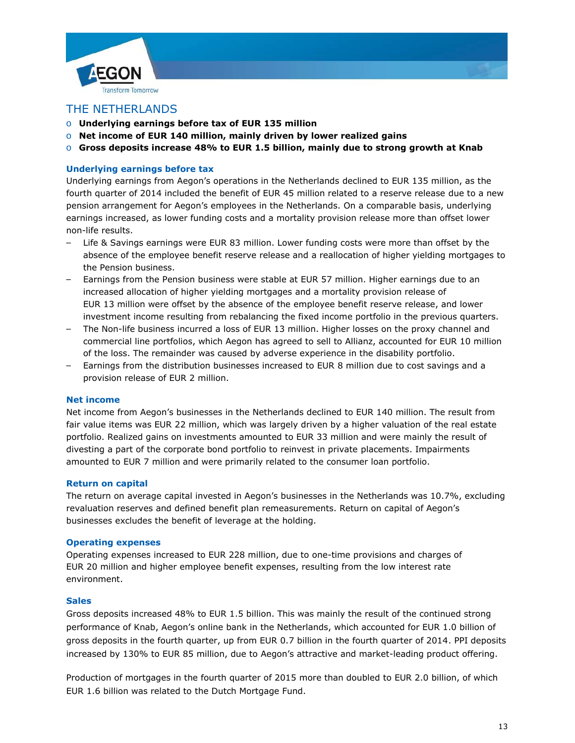

# THE NETHERLANDS

- o **Underlying earnings before tax of EUR 135 million**
- o **Net income of EUR 140 million, mainly driven by lower realized gains**
- o **Gross deposits increase 48% to EUR 1.5 billion, mainly due to strong growth at Knab**

# **Underlying earnings before tax**

Underlying earnings from Aegon's operations in the Netherlands declined to EUR 135 million, as the fourth quarter of 2014 included the benefit of EUR 45 million related to a reserve release due to a new pension arrangement for Aegon's employees in the Netherlands. On a comparable basis, underlying earnings increased, as lower funding costs and a mortality provision release more than offset lower non-life results.

- Life & Savings earnings were EUR 83 million. Lower funding costs were more than offset by the absence of the employee benefit reserve release and a reallocation of higher yielding mortgages to the Pension business.
- Earnings from the Pension business were stable at EUR 57 million. Higher earnings due to an increased allocation of higher yielding mortgages and a mortality provision release of EUR 13 million were offset by the absence of the employee benefit reserve release, and lower investment income resulting from rebalancing the fixed income portfolio in the previous quarters.
- The Non-life business incurred a loss of EUR 13 million. Higher losses on the proxy channel and commercial line portfolios, which Aegon has agreed to sell to Allianz, accounted for EUR 10 million of the loss. The remainder was caused by adverse experience in the disability portfolio.
- Earnings from the distribution businesses increased to EUR 8 million due to cost savings and a provision release of EUR 2 million.

### **Net income**

Net income from Aegon's businesses in the Netherlands declined to EUR 140 million. The result from fair value items was EUR 22 million, which was largely driven by a higher valuation of the real estate portfolio. Realized gains on investments amounted to EUR 33 million and were mainly the result of divesting a part of the corporate bond portfolio to reinvest in private placements. Impairments amounted to EUR 7 million and were primarily related to the consumer loan portfolio.

### **Return on capital**

The return on average capital invested in Aegon's businesses in the Netherlands was 10.7%, excluding revaluation reserves and defined benefit plan remeasurements. Return on capital of Aegon's businesses excludes the benefit of leverage at the holding.

### **Operating expenses**

Operating expenses increased to EUR 228 million, due to one-time provisions and charges of EUR 20 million and higher employee benefit expenses, resulting from the low interest rate environment.

### **Sales**

Gross deposits increased 48% to EUR 1.5 billion. This was mainly the result of the continued strong performance of Knab, Aegon's online bank in the Netherlands, which accounted for EUR 1.0 billion of gross deposits in the fourth quarter, up from EUR 0.7 billion in the fourth quarter of 2014. PPI deposits increased by 130% to EUR 85 million, due to Aegon's attractive and market-leading product offering.

Production of mortgages in the fourth quarter of 2015 more than doubled to EUR 2.0 billion, of which EUR 1.6 billion was related to the Dutch Mortgage Fund.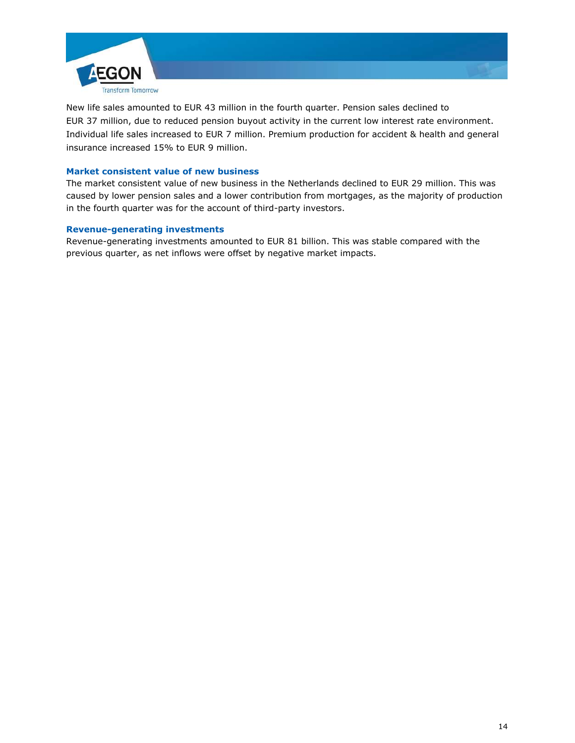

New life sales amounted to EUR 43 million in the fourth quarter. Pension sales declined to EUR 37 million, due to reduced pension buyout activity in the current low interest rate environment. Individual life sales increased to EUR 7 million. Premium production for accident & health and general insurance increased 15% to EUR 9 million.

# **Market consistent value of new business**

The market consistent value of new business in the Netherlands declined to EUR 29 million. This was caused by lower pension sales and a lower contribution from mortgages, as the majority of production in the fourth quarter was for the account of third-party investors.

# **Revenue-generating investments**

Revenue-generating investments amounted to EUR 81 billion. This was stable compared with the previous quarter, as net inflows were offset by negative market impacts.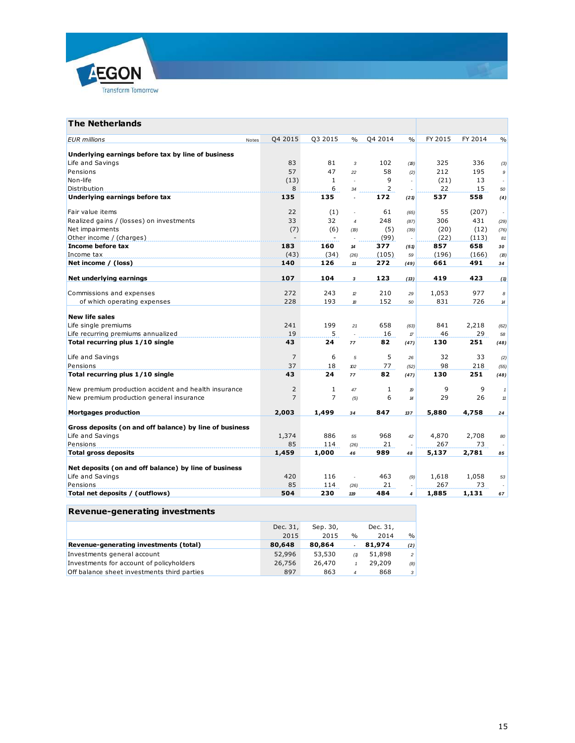

| <b>The Netherlands</b>                                  |       |                |                |                |              |                                   |         |            |              |
|---------------------------------------------------------|-------|----------------|----------------|----------------|--------------|-----------------------------------|---------|------------|--------------|
| <b>EUR</b> millions                                     | Notes | Q4 2015        | Q3 2015        | $\%$           | Q4 2014      | $\%$                              | FY 2015 | FY 2014    | $\%$         |
| Underlying earnings before tax by line of business      |       |                |                |                |              |                                   |         |            |              |
| Life and Savings                                        |       | 83             | 81             | 3              | 102          | (18)                              | 325     | 336        | (3)          |
| Pensions                                                |       | 57             | 47             | 22             | 58           | (2)                               | 212     | 195        | 9            |
| Non-life                                                |       | (13)           | $\mathbf{1}$   | $\overline{a}$ | 9            | $\overline{\phantom{a}}$          | (21)    | 13         |              |
| Distribution                                            |       | 8              | 6              | 34             | 2            | ÷,                                | 22      | 15         | 50           |
| Underlying earnings before tax                          |       | 135            | 135            | ÷,             | 172          | (21)                              | 537     | 558        | (4)          |
| Fair value items                                        |       | 22             | (1)            | ÷              | 61           | (65)                              | 55      | (207)      | $\sim$       |
| Realized gains / (losses) on investments                |       | 33             | 32             | $\overline{4}$ | 248          | (87)                              | 306     | 431        | (29)         |
| Net impairments                                         |       | (7)            | (6)            | (19)           | (5)          | (39)                              | (20)    | (12)       | (76)         |
| Other income / (charges)                                |       |                |                |                | (99)         |                                   | (22)    | (113)      | 81           |
| Income before tax                                       |       | 183            | 160            | 14             | 377          | (51)                              | 857     | 658        | 30           |
| Income tax                                              |       | (43)           | (34)           | (26)           | (105)        | 59                                | (196)   | (166)      | (18)         |
| Net income / (loss)                                     |       | 140            | 126            | 11             | 272          | (49)                              | 661     | 491        | 34           |
| Net underlying earnings                                 |       | 107            | 104            | 3              | 123          | (13)                              | 419     | 423        | (1)          |
|                                                         |       |                |                |                |              |                                   |         |            |              |
| Commissions and expenses                                |       | 272<br>228     | 243            | $\mathcal{D}$  | 210<br>152   | 29                                | 1,053   | 977<br>726 | 8            |
| of which operating expenses                             |       |                | 193            | 18             |              | 50                                | 831     |            | $14$         |
| <b>New life sales</b>                                   |       |                |                |                |              |                                   |         |            |              |
| Life single premiums                                    |       | 241            | 199            | 21             | 658          | (63)                              | 841     | 2,218      | (62)         |
| Life recurring premiums annualized                      |       | 19             | 5              |                | 16           | $\ensuremath{\mathcal{T}}\xspace$ | 46      | 29         | 58           |
| Total recurring plus 1/10 single                        |       | 43             | 24             | 77             | 82           | (47)                              | 130     | 251        | (48)         |
| Life and Savings                                        |       | $\overline{7}$ | 6              | 5              | 5            | 26                                | 32      | 33         | (2)          |
| Pensions                                                |       | 37             | 18             | 102            | 77           | (52)                              | 98      | 218        | (55)         |
| Total recurring plus 1/10 single                        |       | 43             | 24             | 77             | 82           | (47)                              | 130     | 251        | (48)         |
| New premium production accident and health insurance    |       | 2              | 1              | 47             | $\mathbf{1}$ | 19                                | 9       | 9          | $\mathbf{1}$ |
| New premium production general insurance                |       | $\overline{7}$ | $\overline{7}$ | (5)            | 6            | 14                                | 29      | 26         | $11$         |
| <b>Mortgages production</b>                             |       | 2,003          | 1,499          | 34             | 847          | 137                               | 5,880   | 4,758      | 24           |
| Gross deposits (on and off balance) by line of business |       |                |                |                |              |                                   |         |            |              |
| Life and Savings                                        |       | 1,374          | 886            | 55             | 968          | 42                                | 4,870   | 2,708      | 80           |
| Pensions                                                |       | 85             | 114            | (26)           | 21           |                                   | 267     | 73         |              |
| <b>Total gross deposits</b>                             |       | 1,459          | 1,000          | 46             | 989          | 48                                | 5,137   | 2,781      | 85           |
| Net deposits (on and off balance) by line of business   |       |                |                |                |              |                                   |         |            |              |
| Life and Savings                                        |       | 420            | 116            | ÷.             | 463          | (9)                               | 1,618   | 1,058      | 53           |
| Pensions                                                |       | 85             | 114            | (26)           | 21           | $\overline{a}$                    | 267     | 73         |              |
| Total net deposits / (outflows)                         |       | 504            | 230            | 119            | 484          | $\overline{4}$                    | 1,885   | 1,131      | 67           |

| <b>Revenue-generating investments</b>       |          |          |                |          |                |
|---------------------------------------------|----------|----------|----------------|----------|----------------|
|                                             | Dec. 31, | Sep. 30, |                | Dec. 31, |                |
|                                             | 2015     | 2015     | $\%$           | 2014     | $\frac{9}{6}$  |
| Revenue-generating investments (total)      | 80,648   | 80,864   | ٠              | 81,974   | (2)            |
| Investments general account                 | 52,996   | 53,530   | (1)            | 51,898   | 2 <sup>1</sup> |
| Investments for account of policyholders    | 26,756   | 26,470   |                | 29,209   | (8)            |
| Off balance sheet investments third parties | 897      | 863      | $\overline{4}$ | 868      | 3 <sup>1</sup> |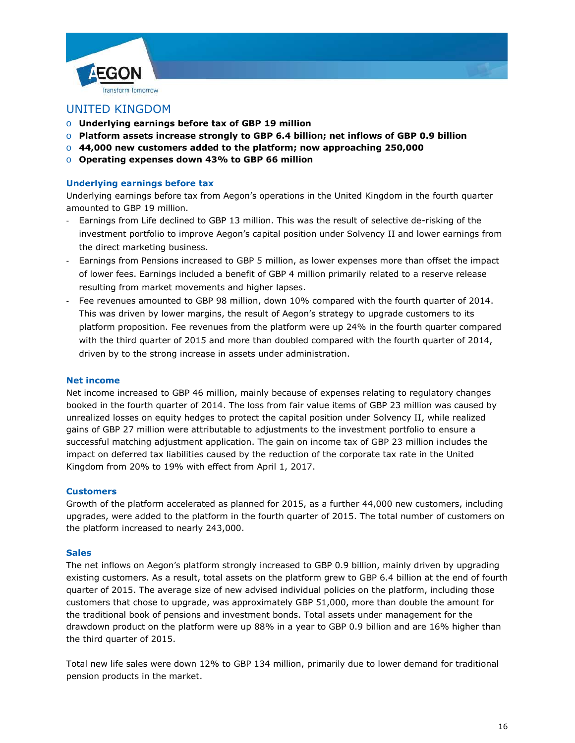



- o **Underlying earnings before tax of GBP 19 million**
- o **Platform assets increase strongly to GBP 6.4 billion; net inflows of GBP 0.9 billion**
- o **44,000 new customers added to the platform; now approaching 250,000**
- o **Operating expenses down 43% to GBP 66 million**

# **Underlying earnings before tax**

Underlying earnings before tax from Aegon's operations in the United Kingdom in the fourth quarter amounted to GBP 19 million.

- Earnings from Life declined to GBP 13 million. This was the result of selective de-risking of the investment portfolio to improve Aegon's capital position under Solvency II and lower earnings from the direct marketing business.
- Earnings from Pensions increased to GBP 5 million, as lower expenses more than offset the impact of lower fees. Earnings included a benefit of GBP 4 million primarily related to a reserve release resulting from market movements and higher lapses.
- Fee revenues amounted to GBP 98 million, down 10% compared with the fourth quarter of 2014. This was driven by lower margins, the result of Aegon's strategy to upgrade customers to its platform proposition. Fee revenues from the platform were up 24% in the fourth quarter compared with the third quarter of 2015 and more than doubled compared with the fourth quarter of 2014, driven by to the strong increase in assets under administration.

# **Net income**

Net income increased to GBP 46 million, mainly because of expenses relating to regulatory changes booked in the fourth quarter of 2014. The loss from fair value items of GBP 23 million was caused by unrealized losses on equity hedges to protect the capital position under Solvency II, while realized gains of GBP 27 million were attributable to adjustments to the investment portfolio to ensure a successful matching adjustment application. The gain on income tax of GBP 23 million includes the impact on deferred tax liabilities caused by the reduction of the corporate tax rate in the United Kingdom from 20% to 19% with effect from April 1, 2017.

# **Customers**

Growth of the platform accelerated as planned for 2015, as a further 44,000 new customers, including upgrades, were added to the platform in the fourth quarter of 2015. The total number of customers on the platform increased to nearly 243,000.

# **Sales**

The net inflows on Aegon's platform strongly increased to GBP 0.9 billion, mainly driven by upgrading existing customers. As a result, total assets on the platform grew to GBP 6.4 billion at the end of fourth quarter of 2015. The average size of new advised individual policies on the platform, including those customers that chose to upgrade, was approximately GBP 51,000, more than double the amount for the traditional book of pensions and investment bonds. Total assets under management for the drawdown product on the platform were up 88% in a year to GBP 0.9 billion and are 16% higher than the third quarter of 2015.

Total new life sales were down 12% to GBP 134 million, primarily due to lower demand for traditional pension products in the market.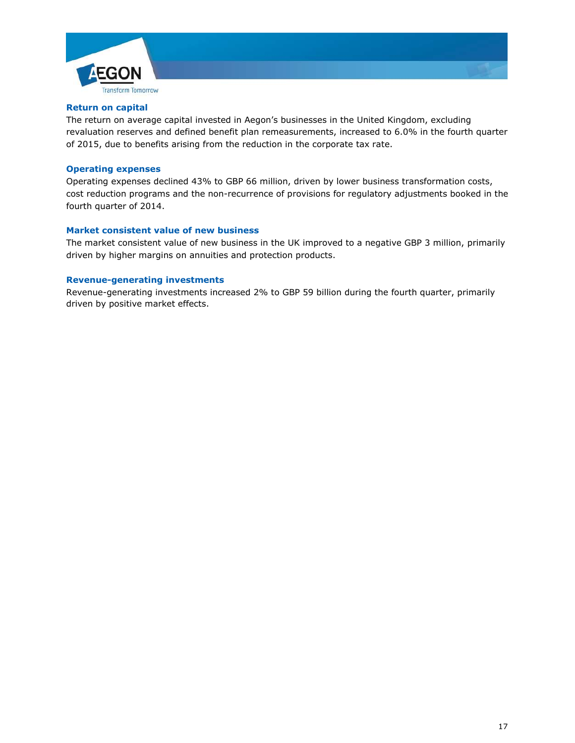

#### **Return on capital**

The return on average capital invested in Aegon's businesses in the United Kingdom, excluding revaluation reserves and defined benefit plan remeasurements, increased to 6.0% in the fourth quarter of 2015, due to benefits arising from the reduction in the corporate tax rate.

## **Operating expenses**

Operating expenses declined 43% to GBP 66 million, driven by lower business transformation costs, cost reduction programs and the non-recurrence of provisions for regulatory adjustments booked in the fourth quarter of 2014.

#### **Market consistent value of new business**

The market consistent value of new business in the UK improved to a negative GBP 3 million, primarily driven by higher margins on annuities and protection products.

#### **Revenue-generating investments**

Revenue-generating investments increased 2% to GBP 59 billion during the fourth quarter, primarily driven by positive market effects.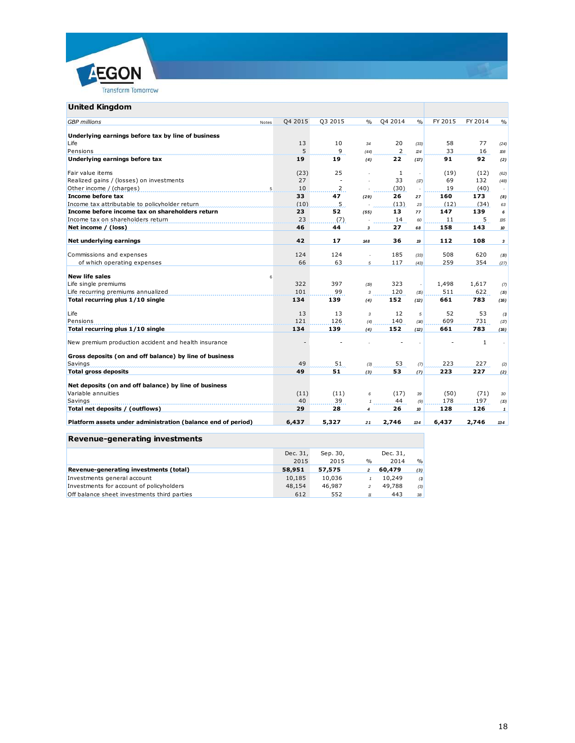

## **United Kingdom**

| <b>United Kingdom</b>                                        |                  |         |                         |         |               |         |              |                |
|--------------------------------------------------------------|------------------|---------|-------------------------|---------|---------------|---------|--------------|----------------|
| <b>GBP</b> millions                                          | Q4 2015<br>Notes | Q3 2015 | $\frac{0}{0}$           | Q4 2014 | $\frac{0}{0}$ | FY 2015 | FY 2014      | $\frac{0}{0}$  |
| Underlying earnings before tax by line of business           |                  |         |                         |         |               |         |              |                |
| Life                                                         | 13               | 10      | 34                      | 20      | (33)          | 58      | 77           | (24)           |
| Pensions                                                     | 5                | 9       | (44)                    | 2       | 24            | 33      | 16           | $\mathcal{D}8$ |
| Underlying earnings before tax                               | 19               | 19      | (4)                     | 22      | (17)          | 91      | 92           | (2)            |
|                                                              |                  |         |                         |         |               |         |              |                |
| Fair value items                                             | (23)             | 25      |                         | 1       |               | (19)    | (12)         | (62)           |
| Realized gains / (losses) on investments                     | 27               |         |                         | 33      | (17)          | 69      | 132          | (48)           |
| Other income / (charges)                                     | 10               | 2       |                         | (30)    |               | 19      | (40)         |                |
| Income before tax                                            | 33               | 47      | (29)                    | 26      | 27            | 160     | 173          | (8)            |
| Income tax attributable to policyholder return               | (10)             | 5       |                         | (13)    | 23            | (12)    | (34)         | 63             |
| Income before income tax on shareholders return              | 23               | 52      | (55)                    | 13      | 77            | 147     | 139          | 6              |
| Income tax on shareholders return                            | 23               | (7)     |                         | 14      | 60            | 11      | 5            | 135            |
| Net income / (loss)                                          | 46               | 44      | 3                       | 27      | 68            | 158     | 143          | 10             |
| Net underlying earnings                                      | 42               | 17      | 148                     | 36      | 19            | 112     | 108          | $\mathbf{3}$   |
|                                                              |                  |         |                         |         |               |         |              |                |
| Commissions and expenses                                     | 124              | 124     | $\overline{a}$          | 185     | (33)          | 508     | 620          | (18)           |
| of which operating expenses                                  | 66               | 63      | 5                       | 117     | (43)          | 259     | 354          | (27)           |
| <b>New life sales</b>                                        | 6                |         |                         |         |               |         |              |                |
| Life single premiums                                         | 322              | 397     | (19)                    | 323     | $\sim$        | 1,498   | 1,617        | (7)            |
| Life recurring premiums annualized                           | 101              | 99      | $\overline{\mathbf{3}}$ | 120     | (15)          | 511     | 622          | (18)           |
| Total recurring plus 1/10 single                             | 134              | 139     | (4)                     | 152     | (12)          | 661     | 783          | (16)           |
|                                                              |                  |         |                         |         |               |         |              |                |
| Life                                                         | 13               | 13      | $\overline{3}$          | 12      | 5             | 52      | 53           | (1)            |
| Pensions                                                     | 121              | 126     | (4)                     | 140     | (14)          | 609     | 731          | (17)           |
| Total recurring plus 1/10 single                             | 134              | 139     | (4)                     | 152     | (12)          | 661     | 783          | (16)           |
| New premium production accident and health insurance         |                  |         |                         |         |               |         | $\mathbf{1}$ |                |
|                                                              |                  |         |                         |         |               |         |              |                |
| Gross deposits (on and off balance) by line of business      |                  |         |                         |         |               |         |              |                |
| Savings                                                      | 49               | 51      | (3)                     | 53      | (7)           | 223     | 227          | (2)            |
| <b>Total gross deposits</b>                                  | 49               | 51      | (3)                     | 53      | (7)           | 223     | 227          | (2)            |
|                                                              |                  |         |                         |         |               |         |              |                |
| Net deposits (on and off balance) by line of business        |                  |         |                         |         |               |         |              |                |
| Variable annuities                                           | (11)             | (11)    | 6                       | (17)    | 39            | (50)    | (71)         | $30\,$         |
| Savings                                                      | 40               | 39      | $\mathbf{1}$            | 44      | (9)           | 178     | 197          | (10)           |
| Total net deposits / (outflows)                              | 29               | 28      | $\overline{\mathbf{4}}$ | 26      | 10            | 128     | 126          | $\mathbf{1}$   |
| Platform assets under administration (balance end of period) | 6,437            | 5,327   | 21                      | 2,746   | 134           | 6.437   | 2.746        | 134            |

# **Revenue-generating investments**

|                                             | Dec. 31, | Sep. 30, |      | Dec. 31, |               |  |
|---------------------------------------------|----------|----------|------|----------|---------------|--|
|                                             | 2015     | 2015     | $\%$ | 2014     | $\frac{9}{6}$ |  |
| Revenue-generating investments (total)      | 58,951   | 57,575   |      | 60,479   | (3)           |  |
| Investments general account                 | 10,185   | 10.036   |      | 10,249   | (1)           |  |
| Investments for account of policyholders    | 48,154   | 46,987   |      | 49.788   | (3)           |  |
| Off balance sheet investments third parties | 612      | 552      | 11   | 443      | 38            |  |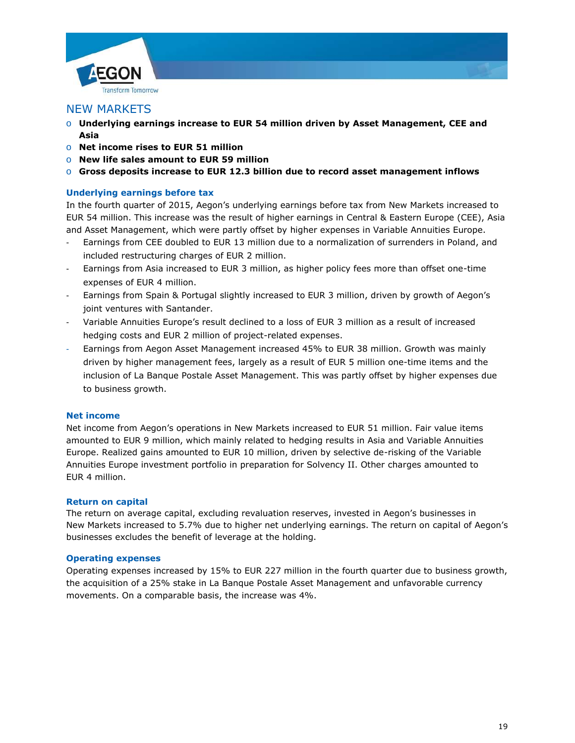



# NEW MARKETS

- o **Underlying earnings increase to EUR 54 million driven by Asset Management, CEE and Asia**
- o **Net income rises to EUR 51 million**
- o **New life sales amount to EUR 59 million**
- o **Gross deposits increase to EUR 12.3 billion due to record asset management inflows**

# **Underlying earnings before tax**

In the fourth quarter of 2015, Aegon's underlying earnings before tax from New Markets increased to EUR 54 million. This increase was the result of higher earnings in Central & Eastern Europe (CEE), Asia and Asset Management, which were partly offset by higher expenses in Variable Annuities Europe.

- Earnings from CEE doubled to EUR 13 million due to a normalization of surrenders in Poland, and included restructuring charges of EUR 2 million.
- Earnings from Asia increased to EUR 3 million, as higher policy fees more than offset one-time expenses of EUR 4 million.
- Earnings from Spain & Portugal slightly increased to EUR 3 million, driven by growth of Aegon's joint ventures with Santander.
- Variable Annuities Europe's result declined to a loss of EUR 3 million as a result of increased hedging costs and EUR 2 million of project-related expenses.
- Earnings from Aegon Asset Management increased 45% to EUR 38 million. Growth was mainly driven by higher management fees, largely as a result of EUR 5 million one-time items and the inclusion of La Banque Postale Asset Management. This was partly offset by higher expenses due to business growth.

# **Net income**

Net income from Aegon's operations in New Markets increased to EUR 51 million. Fair value items amounted to EUR 9 million, which mainly related to hedging results in Asia and Variable Annuities Europe. Realized gains amounted to EUR 10 million, driven by selective de-risking of the Variable Annuities Europe investment portfolio in preparation for Solvency II. Other charges amounted to EUR 4 million.

# **Return on capital**

The return on average capital, excluding revaluation reserves, invested in Aegon's businesses in New Markets increased to 5.7% due to higher net underlying earnings. The return on capital of Aegon's businesses excludes the benefit of leverage at the holding.

# **Operating expenses**

Operating expenses increased by 15% to EUR 227 million in the fourth quarter due to business growth, the acquisition of a 25% stake in La Banque Postale Asset Management and unfavorable currency movements. On a comparable basis, the increase was 4%.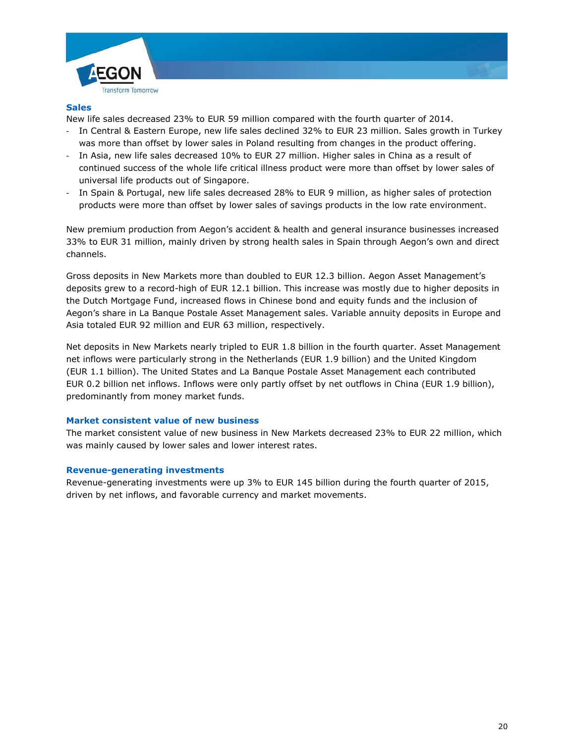



# **Sales**

New life sales decreased 23% to EUR 59 million compared with the fourth quarter of 2014.

- In Central & Eastern Europe, new life sales declined 32% to EUR 23 million. Sales growth in Turkey was more than offset by lower sales in Poland resulting from changes in the product offering.
- In Asia, new life sales decreased 10% to EUR 27 million. Higher sales in China as a result of continued success of the whole life critical illness product were more than offset by lower sales of universal life products out of Singapore.
- In Spain & Portugal, new life sales decreased 28% to EUR 9 million, as higher sales of protection products were more than offset by lower sales of savings products in the low rate environment.

New premium production from Aegon's accident & health and general insurance businesses increased 33% to EUR 31 million, mainly driven by strong health sales in Spain through Aegon's own and direct channels.

Gross deposits in New Markets more than doubled to EUR 12.3 billion. Aegon Asset Management's deposits grew to a record-high of EUR 12.1 billion. This increase was mostly due to higher deposits in the Dutch Mortgage Fund, increased flows in Chinese bond and equity funds and the inclusion of Aegon's share in La Banque Postale Asset Management sales. Variable annuity deposits in Europe and Asia totaled EUR 92 million and EUR 63 million, respectively.

Net deposits in New Markets nearly tripled to EUR 1.8 billion in the fourth quarter. Asset Management net inflows were particularly strong in the Netherlands (EUR 1.9 billion) and the United Kingdom (EUR 1.1 billion). The United States and La Banque Postale Asset Management each contributed EUR 0.2 billion net inflows. Inflows were only partly offset by net outflows in China (EUR 1.9 billion), predominantly from money market funds.

# **Market consistent value of new business**

The market consistent value of new business in New Markets decreased 23% to EUR 22 million, which was mainly caused by lower sales and lower interest rates.

### **Revenue-generating investments**

Revenue-generating investments were up 3% to EUR 145 billion during the fourth quarter of 2015, driven by net inflows, and favorable currency and market movements.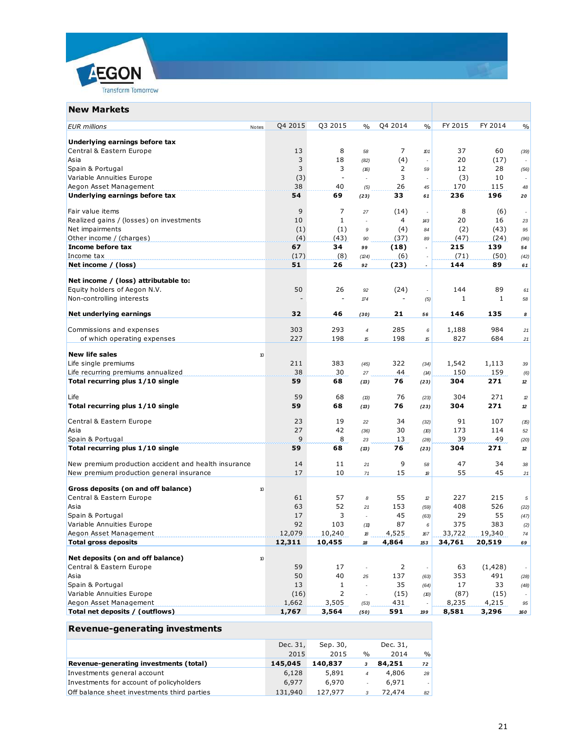

| <b>New Markets</b>                                   |         |                |                          |                          |                          |         |              |                          |
|------------------------------------------------------|---------|----------------|--------------------------|--------------------------|--------------------------|---------|--------------|--------------------------|
| <b>EUR</b> millions<br>Notes                         | Q4 2015 | Q3 2015        | $\frac{0}{0}$            | Q4 2014                  | $\frac{0}{0}$            | FY 2015 | FY 2014      | $\%$                     |
| Underlying earnings before tax                       |         |                |                          |                          |                          |         |              |                          |
| Central & Eastern Europe                             | 13      | 8              | 58                       | 7                        | 101                      | 37      | 60           | (39)                     |
| Asia                                                 | 3       | 18             | (82)                     | (4)                      |                          | 20      | (17)         |                          |
| Spain & Portugal                                     | 3       | 3              | (16)                     | 2                        | 59                       | 12      | 28           | (56)                     |
| Variable Annuities Europe                            | (3)     |                | ٠                        | 3                        | ٠                        | (3)     | 10           |                          |
| Aegon Asset Management                               | 38      | 40             | (5)                      | 26                       | 45                       | 170     | 115          | 48                       |
| Underlying earnings before tax                       | 54      | 69             | (23)                     | 33                       | 61                       | 236     | 196          | 20                       |
| Fair value items                                     | 9       | 7              | 27                       | (14)                     | ٠                        | 8       | (6)          | $\overline{\phantom{a}}$ |
| Realized gains / (losses) on investments             | 10      | 1              |                          | 4                        | 143                      | 20      | 16           | 23                       |
| Net impairments                                      | (1)     | (1)            | 9                        | (4)                      | 84                       | (2)     | (43)         | 95                       |
| Other income / (charges)                             | (4)     | (43)           | 90                       | (37)                     | 89                       | (47)    | (24)         | (96)                     |
| Income before tax                                    | 67      | 34             | 99                       | (18)                     | $\overline{\phantom{a}}$ | 215     | 139          | 54                       |
| Income tax                                           | (17)    | (8)            | (24)                     | (6)                      | $\overline{\phantom{a}}$ | (71)    | (50)         | (42)                     |
| Net income / (loss)                                  | 51      | 26             | 92                       | (23)                     | $\blacksquare$           | 144     | 89           | 61                       |
|                                                      |         |                |                          |                          |                          |         |              |                          |
| Net income / (loss) attributable to:                 |         |                |                          |                          |                          |         |              |                          |
| Equity holders of Aegon N.V.                         | 50      | 26             | 92                       | (24)                     |                          | 144     | 89           | 61                       |
| Non-controlling interests                            |         |                | $\sqrt{74}$              | $\overline{\phantom{a}}$ | (5)                      | 1       | $\mathbf{1}$ | 58                       |
| Net underlying earnings                              | 32      | 46             | (30)                     | 21                       | 56                       | 146     | 135          | 8                        |
| Commissions and expenses                             | 303     | 293            | $\overline{4}$           | 285                      | 6                        | 1,188   | 984          | 21                       |
| of which operating expenses                          | 227     | 198            | ${\mathcal{B}}$          | 198                      | 15                       | 827     | 684          | 21                       |
|                                                      |         |                |                          |                          |                          |         |              |                          |
| <b>New life sales</b><br>10                          |         |                |                          |                          |                          |         |              |                          |
| Life single premiums                                 | 211     | 383            | (45)                     | 322                      | (34)                     | 1,542   | 1,113        | 39                       |
| Life recurring premiums annualized                   | 38      | 30             | 27                       | 44                       | (14)                     | 150     | 159          | (6)                      |
| Total recurring plus 1/10 single                     | 59      | 68             | (13)                     | 76                       | (23)                     | 304     | 271          | 12                       |
| Life                                                 | 59      | 68             | (B)                      | 76                       | (23)                     | 304     | 271          | 12                       |
| Total recurring plus 1/10 single                     | 59      | 68             | (13)                     | 76                       | (23)                     | 304     | 271          | $12\,$                   |
| Central & Eastern Europe                             | 23      | 19             | 22                       | 34                       | (32)                     | 91      | 107          | (15)                     |
| Asia                                                 | 27      | 42             | (36)                     | 30                       | (10)                     | 173     | 114          | 52                       |
| Spain & Portugal                                     | 9       | 8              | 23                       | 13                       | (28)                     | 39      | 49           | (20)                     |
| Total recurring plus 1/10 single                     | 59      | 68             | (13)                     | 76                       | (23)                     | 304     | 271          | 12                       |
| New premium production accident and health insurance | 14      | 11             | 21                       | 9                        | 58                       | 47      | 34           | 38                       |
| New premium production general insurance             | 17      | 10             | $71$                     | 15                       | 18                       | 55      | 45           | 21                       |
|                                                      |         |                |                          |                          |                          |         |              |                          |
| Gross deposits (on and off balance)<br>10            |         |                |                          |                          |                          |         |              |                          |
| Central & Eastern Europe                             | 61      | 57             | 8                        | 55                       | $\mathcal D$             | 227     | 215          | 5                        |
| Asia                                                 | 63      | 52             | 21                       | 153                      | (59)                     | 408     | 526          | (22)                     |
| Spain & Portugal                                     | 17      | 3              | ٠                        | 45                       | (63)                     | 29      | 55           | (47)                     |
| Variable Annuities Europe                            | 92      | 103            | (11)                     | 87                       | 6                        | 375     | 383          | (2)                      |
| Aegon Asset Management                               | 12,079  | 10,240         | 18                       | 4,525                    | 167                      | 33,722  | 19,340       | $\mathbf{74}$            |
| <b>Total gross deposits</b>                          | 12,311  | 10,455         | 18                       | 4,864                    | 153                      | 34,761  | 20,519       | 69                       |
| Net deposits (on and off balance)<br>10              |         |                |                          |                          |                          |         |              |                          |
| Central & Eastern Europe                             | 59      | 17             |                          | $\overline{2}$           |                          | 63      | (1, 428)     |                          |
| Asia                                                 | 50      | 40             | 25                       | 137                      | (63)                     | 353     | 491          | (28)                     |
| Spain & Portugal                                     | 13      | 1              | $\overline{\phantom{a}}$ | 35                       | (64)                     | 17      | 33           | (48)                     |
| Variable Annuities Europe                            | (16)    | $\overline{2}$ | $\overline{\phantom{a}}$ | (15)                     | (10)                     | (87)    | (15)         |                          |
| Aegon Asset Management                               | 1,662   | 3,505          | (53)                     | 431                      |                          | 8,235   | 4,215        | 95                       |
| Total net deposits / (outflows)                      | 1,767   | 3,564          | (50)                     | 591                      | 199                      | 8,581   | 3,296        | 160                      |

# **Revenue-generating investments**

|                                             | Dec. 31, | Sep. 30, |                          | Dec. 31, |                 |
|---------------------------------------------|----------|----------|--------------------------|----------|-----------------|
|                                             | 2015     | 2015     | $\%$                     | 2014     | $\frac{9}{6}$   |
| Revenue-generating investments (total)      | 145,045  | 140,837  |                          | 84,251   | 72 <sub>1</sub> |
| Investments general account                 | 6,128    | 5,891    | $\overline{4}$           | 4,806    | 28              |
| Investments for account of policyholders    | 6,977    | 6,970    | $\overline{\phantom{a}}$ | 6,971    |                 |
| Off balance sheet investments third parties | 131,940  | 127.977  |                          | 72,474   | 82              |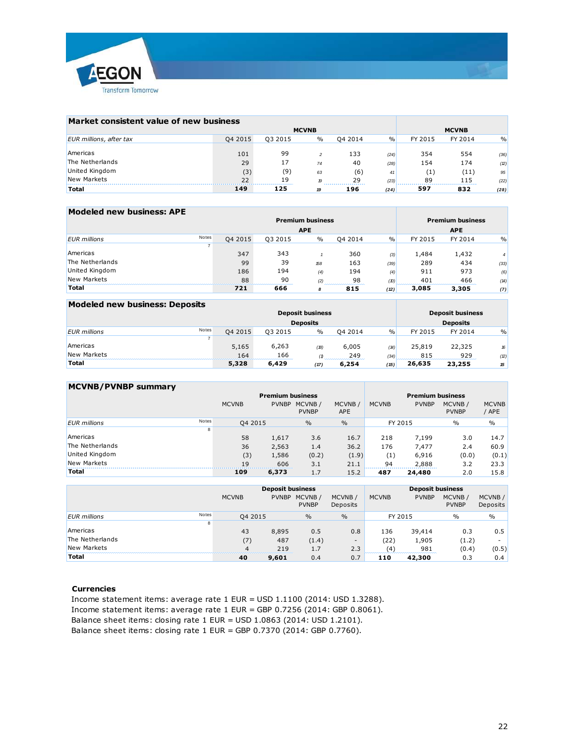

| Market consistent value of new business |         |         |              |         |               |         |              |               |
|-----------------------------------------|---------|---------|--------------|---------|---------------|---------|--------------|---------------|
|                                         |         |         | <b>MCVNB</b> |         |               |         | <b>MCVNB</b> |               |
| EUR millions, after tax                 | Q4 2015 | Q3 2015 | $\%$         | 04 2014 | $\frac{0}{0}$ | FY 2015 | FY 2014      | $\frac{0}{0}$ |
|                                         |         |         |              |         |               |         |              |               |
| Americas                                | 101     | 99      |              | 133     | (24)          | 354     | 554          | (36)          |
| The Netherlands                         | 29      | 17      | 74           | 40      | (28)          | 154     | 174          | (2)           |
| United Kingdom                          | (3)     | (9)     | 63           | (6)     | 41            | (1)     | (11)         | 95            |
| New Markets                             | 22      | 19      | 19           | 29      | (23)          | 89      | 115          | (22)          |
| <b>Total</b>                            | 149     | 125     | 19           | 196     | (24)          | 597     | 832          | (28)          |

| Modeled new business: APE |              |         |         |                         |         |               |         |                         |                |
|---------------------------|--------------|---------|---------|-------------------------|---------|---------------|---------|-------------------------|----------------|
|                           |              |         |         | <b>Premium business</b> |         |               |         | <b>Premium business</b> |                |
|                           |              |         |         | <b>APE</b>              |         |               |         | <b>APE</b>              |                |
| <b>EUR</b> millions       | <b>Notes</b> | Q4 2015 | Q3 2015 | $\%$                    | Q4 2014 | $\frac{0}{0}$ | FY 2015 | FY 2014                 | $\%$           |
|                           |              |         |         |                         |         |               |         |                         |                |
| Americas                  |              | 347     | 343     |                         | 360     | (3)           | 1,484   | 1,432                   | $\overline{4}$ |
| The Netherlands           |              | 99      | 39      | 158                     | 163     | (39)          | 289     | 434                     | (33)           |
| United Kingdom            |              | 186     | 194     | (4)                     | 194     | (4)           | 911     | 973                     | (6)            |
| <b>New Markets</b>        |              | 88      | 90      | (2)                     | 98      | (D)           | 401     | 466                     | (14)           |
| <b>Total</b>              |              | 721     | 666     | 8                       | 815     | (12)          | 3,085   | 3,305                   | (7)            |

| Modeled new business: Deposits      |         |         |                         |         |               |         |                         |               |  |  |
|-------------------------------------|---------|---------|-------------------------|---------|---------------|---------|-------------------------|---------------|--|--|
|                                     |         |         | <b>Deposit business</b> |         |               |         | <b>Deposit business</b> |               |  |  |
|                                     |         |         | <b>Deposits</b>         |         |               |         | <b>Deposits</b>         |               |  |  |
| <b>Notes</b><br><b>EUR</b> millions | Q4 2015 | 03 2015 | $\frac{0}{0}$           | 04 2014 | $\frac{0}{0}$ | FY 2015 | FY 2014                 | $\frac{9}{0}$ |  |  |
|                                     |         |         |                         |         |               |         |                         |               |  |  |
| Americas                            | 5,165   | 6,263   | (18)                    | 6,005   | (14)          | 25,819  | 22,325                  | 16            |  |  |
| New Markets                         | 164     | 166     |                         | 249     | (34)          | 815     | 929                     | (2)           |  |  |
| <b>Total</b>                        | 5,328   | 6,429   | (17)                    | 6,254   | (15)          | 26,635  | 23,255                  | 15            |  |  |

| <b>MCVNB/PVNBP summary</b> |       |              |              |                         |                      |                         |              |                        |                                 |
|----------------------------|-------|--------------|--------------|-------------------------|----------------------|-------------------------|--------------|------------------------|---------------------------------|
|                            |       |              |              | <b>Premium business</b> |                      | <b>Premium business</b> |              |                        |                                 |
|                            |       | <b>MCVNB</b> | <b>PVNBP</b> | MCVNB/<br><b>PVNBP</b>  | MCVNB/<br><b>APE</b> | <b>MCVNB</b>            | <b>PVNBP</b> | MCVNB/<br><b>PVNBP</b> | <b>MCVNB</b><br>APE <sup></sup> |
| <b>EUR</b> millions        | Notes | Q4 2015      |              | $\frac{0}{0}$           | $\frac{0}{0}$        | FY 2015                 |              | $\%$                   | $\frac{0}{0}$                   |
|                            | 8     |              |              |                         |                      |                         |              |                        |                                 |
| Americas                   |       | 58           | 1,617        | 3.6                     | 16.7                 | 218                     | 7,199        | 3.0                    | 14.7                            |
| The Netherlands            |       | 36           | 2,563        | 1.4                     | 36.2                 | 176                     | 7.477        | 2.4                    | 60.9                            |
| United Kingdom             |       | (3)          | 1,586        | (0.2)                   | (1.9)                | (1)                     | 6,916        | (0.0)                  | (0.1)                           |
| New Markets                |       | 19           | 606          | 3.1                     | 21.1                 | 94                      | 2,888        | 3.2                    | 23.3                            |
| <b>Total</b>               |       | 109          | 6,373        | 1.7                     | 15.2                 | 487                     | 24,480       | 2.0                    | 15.8                            |

|                     |              |                          | <b>Deposit business</b> |                        |                     | <b>Deposit business</b> |              |                        |                    |
|---------------------|--------------|--------------------------|-------------------------|------------------------|---------------------|-------------------------|--------------|------------------------|--------------------|
|                     |              | <b>MCVNB</b>             | <b>PVNBP</b>            | MCVNB/<br><b>PVNBP</b> | MCVNB /<br>Deposits | <b>MCVNB</b>            | <b>PVNBP</b> | MCVNB/<br><b>PVNBP</b> | MCVNB/<br>Deposits |
| <b>EUR</b> millions | <b>Notes</b> | Q4 2015                  |                         | $\frac{0}{0}$          | $\frac{0}{0}$       | FY 2015                 |              | $\frac{0}{0}$          | $\%$               |
|                     | 8            |                          |                         |                        |                     |                         |              |                        |                    |
| Americas            |              | 43                       | 8,895                   | 0.5                    | 0.8                 | 136                     | 39,414       | 0.3                    | 0.5                |
| The Netherlands     |              | (7)                      | 487                     | (1.4)                  | -                   | (22)                    | 1,905        | (1.2)                  |                    |
| <b>New Markets</b>  |              | $\overline{\mathcal{A}}$ | 219                     | 1.7                    | 2.3                 | (4)                     | 981          | (0.4)                  | (0.5)              |
| <b>Total</b>        |              | 40                       | 9,601                   | 0.4                    | 0.7                 | 110                     | 42,300       | 0.3                    | 0.4                |
|                     |              |                          |                         |                        |                     |                         |              |                        |                    |

#### **Currencies**

Income statement items: average rate 1 EUR = USD 1.1100 (2014: USD 1.3288). Income statement items: average rate 1 EUR = GBP 0.7256 (2014: GBP 0.8061). Balance sheet items: closing rate 1 EUR = USD 1.0863 (2014: USD 1.2101). Balance sheet items: closing rate 1 EUR = GBP 0.7370 (2014: GBP 0.7760).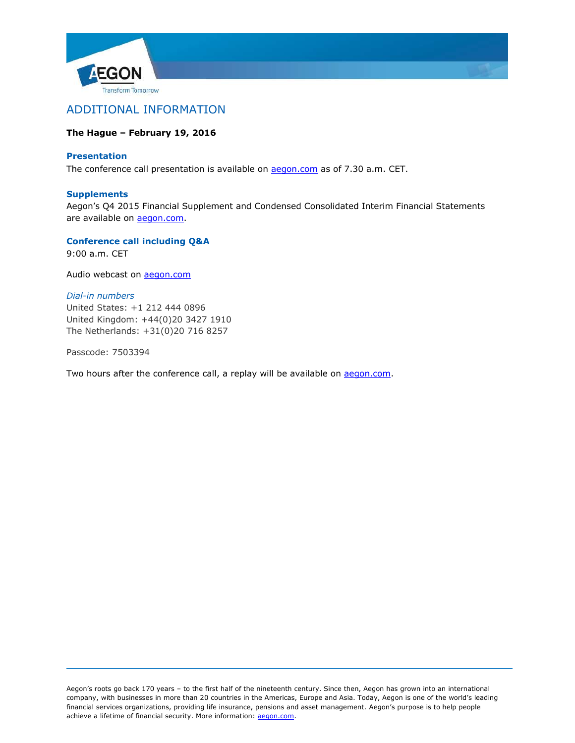



# **The Hague – February 19, 2016**

## **Presentation**

The conference call presentation is available on **aegon.com** as of 7.30 a.m. CET.

## **Supplements**

Aegon's Q4 2015 Financial Supplement and Condensed Consolidated Interim Financial Statements are available on [aegon.com.](http://www.aegon.com/results)

**Conference call including Q&A** 9:00 a.m. CET

Audio webcast on **aegon.com** 

## *Dial-in numbers*

United States: +1 212 444 0896 United Kingdom: +44(0)20 3427 1910 The Netherlands: +31(0)20 716 8257

Passcode: 7503394

Two hours after the conference call, a replay will be available on [aegon.com.](http://www.aegon.com/results)

Aegon's roots go back 170 years – to the first half of the nineteenth century. Since then, Aegon has grown into an international company, with businesses in more than 20 countries in the Americas, Europe and Asia. Today, Aegon is one of the world's leading financial services organizations, providing life insurance, pensions and asset management. Aegon's purpose is to help people achieve a lifetime of financial security. More information: [aegon.com.](http://www.aegon.com/)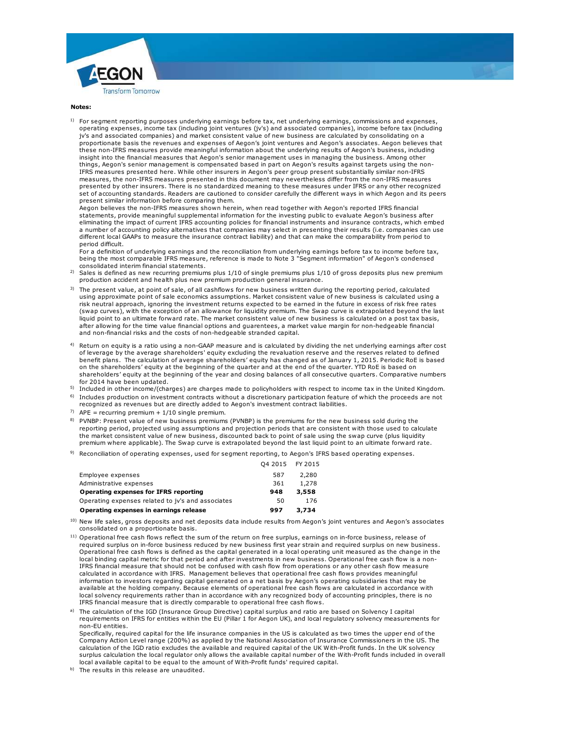



#### **Notes:**

1) For segment reporting purposes underlying earnings before tax, net underlying earnings, commissions and expenses, operating expenses, income tax (including joint ventures (jv's) and associated companies), income before tax (including **tes:**<br>For segment reporting purposes underlying earnings before tax, net underlying earnings, commissions and expense<br>jv's and associated companies) and market consistent value of new business are calculated by consolidat proportionate basis the revenues and expenses of Aegon's joint ventures and Aegon's associates. Aegon believes that these non-IFRS measures provide meaningful information about the underlying results of Aegon's business, including insight into the financial measures that Aegon's senior management uses in managing the business. Among other things, Aegon's senior management is compensated based in part on Aegon's results against targets using the non-IFRS measures presented here. While other insurers in Aegon's peer group present substantially similar non-IFRS measures, the non-IFRS measures presented in this document may nevertheless differ from the non-IFRS measures presented by other insurers. There is no standardized meaning to these measures under IFRS or any other recognized set of accounting standards. Readers are cautioned to consider carefully the different ways in which Aegon and its peers present similar information before comparing them.

Aegon believes the non-IFRS measures shown herein, when read together with Aegon's reported IFRS financial statements, provide meaningful supplemental information for the investing public to evaluate Aegon's business after eliminating the impact of current IFRS accounting policies for financial instruments and insurance contracts, which embed a number of accounting policy alternatives that companies may select in presenting their results (i.e. companies can use different local GAAPs to measure the insurance contract liability) and that can make the comparability from period to period difficult.

For a definition of underlying earnings and the reconciliation from underlying earnings before tax to income before tax, being the most comparable IFRS measure, reference is made to Note 3 "Segment information" of Aegon's condensed consolidated interim financial statements. different local GAAPs to measure the insurance contract liability) and that can make the comparability from period to<br>period difficult.<br>For a definition of underlying earnings and the reconciliation from underlying earning

- 2)
- 3) The present value, at point of sale, of all cashflows for new business written during the reporting period, calculated For a consolidated interim financial statements and the Contention of the Segment information" of Aegon's condensed<br>consolidated interim financial statements.<br>Sales is defined as new recurring premiums plus 1/10 of single risk neutral approach, ignoring the investment returns expected to be earned in the future in excess of risk free rates (swap curves), with the exception of an allowance for liquidity premium. The Swap curve is extrapolated beyond the last procussion accurate mean counting the market point of sale, of all cashflows for new business written during the reporting period, calculated using a using approximate point of sale economics assumptions. Market consistent after allowing for the time value financial options and guarentees, a market value margin for non-hedgeable financial and non-financial risks and the costs of non-hedgeable stranded capital.
- 4) Return on equity is a ratio using a non-GAAP measure and is calculated by dividing the net underlying earnings after cost of leverage by the average shareholders' equity excluding the revaluation reserve and the reserves related to defined benefit plans. The calculation of average shareholders' equity has changed as of January 1, 2015. Periodic RoE is based on the shareholders' equity at the beginning of the quarter and at the end of the quarter. YTD RoE is based on shareholders' equity at the beginning of the year and closing balances of all consecutive quarters. Comparative numbers for 2014 have been updated.
- <sup>6)</sup> Includes production on investment contracts without a discretionary participation feature of which the proceeds are not
- recognized as revenues but are directly added to Aegon's investment contract liabilities.
- <sup>7)</sup> APE = recurring premium +  $1/10$  single premium.
- <sup>5)</sup> Included in other income/(charges) are charges made to policyholders with respect to income tax in the United Kingdom.<br><sup>6)</sup> Includes production on investment contracts without a discretionary participation feature of 8) PVNBP: Present value of new business premiums (PVNBP) is the premiums for the new business sold during the reporting period, projected using assumptions and projection periods that are consistent with those used to calculate The market consistent variance consistent value of new business of new process of new business sold during the<br>The market consistent value of new business premiums.<br>
PVNBP: Present value of new business premiums (PVNBP) is premium where applicable). The Swap curve is extrapolated beyond the last liquid point to an ultimate forward rate.
- 9) Reconciliation of operating expenses, used for segment reporting, to Aegon's IFRS based operating expenses.

|                                                                                                                                                                   | 04 2015 FY 2015 |       |  |
|-------------------------------------------------------------------------------------------------------------------------------------------------------------------|-----------------|-------|--|
| Employee expenses                                                                                                                                                 | 587             | 2,280 |  |
| Administrative expenses                                                                                                                                           | 361             | 1,278 |  |
| Operating expenses for IFRS reporting                                                                                                                             | 948             | 3,558 |  |
| Operating expenses related to jv's and associates                                                                                                                 | 50              | 176   |  |
| Operating expenses in earnings release                                                                                                                            | 997             | 3,734 |  |
| New life sales, gross deposits and net deposits data include results from Aegon's joint ventures and Aegon's associates<br>consolidated on a proportionate basis. |                 |       |  |

- 10) consolidated on a proportionate basis.
- <sup>11)</sup> Operational free cash flows reflect the sum of the return on free surplus, earnings on in-force business, release of a) **Operating expenses in earnings release**<br>New life sales, gross deposits and net deposits data include results from Aegon's joint ventures and Aegon's associates<br>consolidated on a proportionate basis.<br>Operational free cash Operational free cash flows is defined as the capital generated in a local operating unit measured as the change in the New we sales, gives a eposite and net deposits data include results from Aegon's joint ventures and Aegon's associations incomparison in force business, release of perational free cash flows reflect the sum of the return o calculated in accordance with IFRS. Management believes that operational free cash flows provides meaningful information to investors regarding capital generated on a net basis by Aegon's operating subsidiaries that may be available at the holding company. Because elements of operational free cash flows are calculated in accordance with local solvency requirements rather than in accordance with any recognized body of accounting principles, there is no IFRS financial measure that is directly comparable to operational free cash flows.
- a) The calculation of the IGD (Insurance Group Directive) capital surplus and ratio are based on Solvency I capital requirements on IFRS for entities within the EU (Pillar 1 for Aegon UK), and local regulatory solvency measurements for non-EU entities.
- Specifically, required capital for the life insurance companies in the US is calculated as two times the upper end of the Company Action Level range (200%) as applied by the National Association of Insurance Commissioners in the US. The calculation of the IGD ratio excludes the available and required capital of the UK With-Profit funds. In the UK solvency surplus calculation the local regulator only allows the available capital number of the With-Profit funds included in overall local available capital to be equal to the amount of With-Profit funds' required capital.
- b) The results in this release are unaudited.